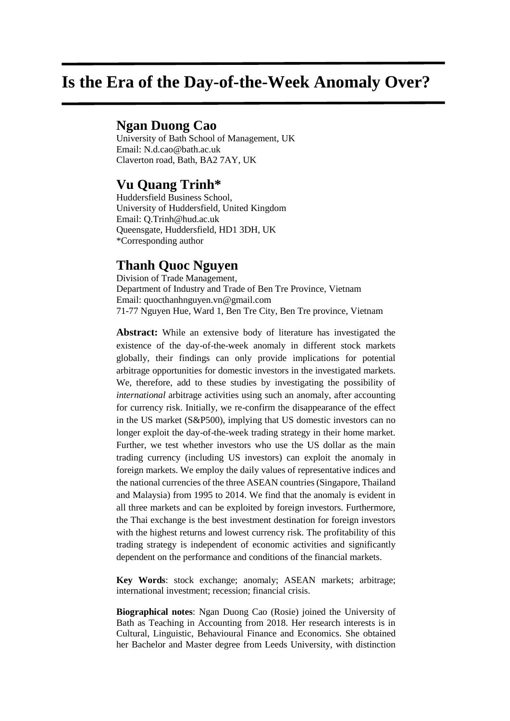# **Is the Era of the Day-of-the-Week Anomaly Over?**

# **Ngan Duong Cao**

University of Bath School of Management, UK Email: N.d.cao@bath.ac.uk Claverton road, Bath, BA2 7AY, UK

# **Vu Quang Trinh\***

Huddersfield Business School, University of Huddersfield, United Kingdom Email: Q.Trinh@hud.ac.uk Queensgate, Huddersfield, HD1 3DH, UK \*Corresponding author

# **Thanh Quoc Nguyen**

Division of Trade Management, Department of Industry and Trade of Ben Tre Province, Vietnam Email: quocthanhnguyen.vn@gmail.com 71-77 Nguyen Hue, Ward 1, Ben Tre City, Ben Tre province, Vietnam

**Abstract:** While an extensive body of literature has investigated the existence of the day-of-the-week anomaly in different stock markets globally, their findings can only provide implications for potential arbitrage opportunities for domestic investors in the investigated markets. We, therefore, add to these studies by investigating the possibility of *international* arbitrage activities using such an anomaly, after accounting for currency risk. Initially, we re-confirm the disappearance of the effect in the US market (S&P500), implying that US domestic investors can no longer exploit the day-of-the-week trading strategy in their home market. Further, we test whether investors who use the US dollar as the main trading currency (including US investors) can exploit the anomaly in foreign markets. We employ the daily values of representative indices and the national currencies of the three ASEAN countries (Singapore, Thailand and Malaysia) from 1995 to 2014. We find that the anomaly is evident in all three markets and can be exploited by foreign investors. Furthermore, the Thai exchange is the best investment destination for foreign investors with the highest returns and lowest currency risk. The profitability of this trading strategy is independent of economic activities and significantly dependent on the performance and conditions of the financial markets.

**Key Words**: stock exchange; anomaly; ASEAN markets; arbitrage; international investment; recession; financial crisis.

**Biographical notes**: Ngan Duong Cao (Rosie) joined the University of Bath as Teaching in Accounting from 2018. Her research interests is in Cultural, Linguistic, Behavioural Finance and Economics. She obtained her Bachelor and Master degree from Leeds University, with distinction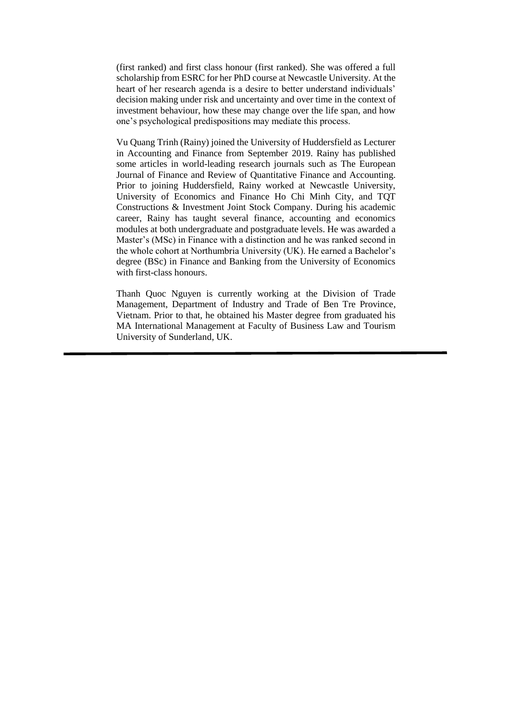(first ranked) and first class honour (first ranked). She was offered a full scholarship from ESRC for her PhD course at Newcastle University. At the heart of her research agenda is a desire to better understand individuals' decision making under risk and uncertainty and over time in the context of investment behaviour, how these may change over the life span, and how one's psychological predispositions may mediate this process.

Vu Quang Trinh (Rainy) joined the University of Huddersfield as Lecturer in Accounting and Finance from September 2019. Rainy has published some articles in world-leading research journals such as The European Journal of Finance and Review of Quantitative Finance and Accounting. Prior to joining Huddersfield, Rainy worked at Newcastle University, University of Economics and Finance Ho Chi Minh City, and TQT Constructions & Investment Joint Stock Company. During his academic career, Rainy has taught several finance, accounting and economics modules at both undergraduate and postgraduate levels. He was awarded a Master's (MSc) in Finance with a distinction and he was ranked second in the whole cohort at Northumbria University (UK). He earned a Bachelor's degree (BSc) in Finance and Banking from the University of Economics with first-class honours.

Thanh Quoc Nguyen is currently working at the Division of Trade Management, Department of Industry and Trade of Ben Tre Province, Vietnam. Prior to that, he obtained his Master degree from graduated his MA International Management at Faculty of Business Law and Tourism University of Sunderland, UK.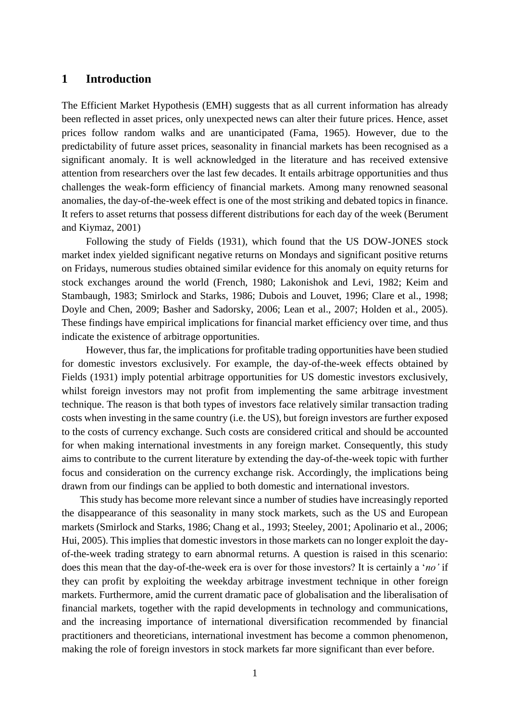#### **1 Introduction**

The Efficient Market Hypothesis (EMH) suggests that as all current information has already been reflected in asset prices, only unexpected news can alter their future prices. Hence, asset prices follow random walks and are unanticipated (Fama, 1965). However, due to the predictability of future asset prices, seasonality in financial markets has been recognised as a significant anomaly. It is well acknowledged in the literature and has received extensive attention from researchers over the last few decades. It entails arbitrage opportunities and thus challenges the weak-form efficiency of financial markets. Among many renowned seasonal anomalies, the day-of-the-week effect is one of the most striking and debated topics in finance. It refers to asset returns that possess different distributions for each day of the week (Berument and Kiymaz, 2001)

Following the study of Fields (1931), which found that the US DOW-JONES stock market index yielded significant negative returns on Mondays and significant positive returns on Fridays, numerous studies obtained similar evidence for this anomaly on equity returns for stock exchanges around the world (French, 1980; Lakonishok and Levi, 1982; Keim and Stambaugh, 1983; Smirlock and Starks, 1986; Dubois and Louvet, 1996; Clare et al., 1998; Doyle and Chen, 2009; Basher and Sadorsky, 2006; Lean et al., 2007; Holden et al., 2005). These findings have empirical implications for financial market efficiency over time, and thus indicate the existence of arbitrage opportunities.

However, thus far, the implications for profitable trading opportunities have been studied for domestic investors exclusively. For example, the day-of-the-week effects obtained by Fields (1931) imply potential arbitrage opportunities for US domestic investors exclusively, whilst foreign investors may not profit from implementing the same arbitrage investment technique. The reason is that both types of investors face relatively similar transaction trading costs when investing in the same country (i.e. the US), but foreign investors are further exposed to the costs of currency exchange. Such costs are considered critical and should be accounted for when making international investments in any foreign market. Consequently, this study aims to contribute to the current literature by extending the day-of-the-week topic with further focus and consideration on the currency exchange risk. Accordingly, the implications being drawn from our findings can be applied to both domestic and international investors.

This study has become more relevant since a number of studies have increasingly reported the disappearance of this seasonality in many stock markets, such as the US and European markets (Smirlock and Starks, 1986; Chang et al., 1993; Steeley, 2001; Apolinario et al., 2006; Hui, 2005). This implies that domestic investors in those markets can no longer exploit the dayof-the-week trading strategy to earn abnormal returns. A question is raised in this scenario: does this mean that the day-of-the-week era is over for those investors? It is certainly a '*no'* if they can profit by exploiting the weekday arbitrage investment technique in other foreign markets. Furthermore, amid the current dramatic pace of globalisation and the liberalisation of financial markets, together with the rapid developments in technology and communications, and the increasing importance of international diversification recommended by financial practitioners and theoreticians, international investment has become a common phenomenon, making the role of foreign investors in stock markets far more significant than ever before.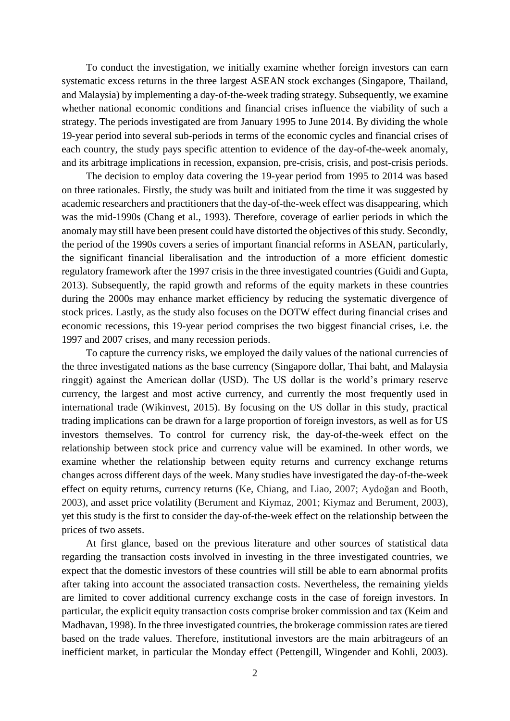To conduct the investigation, we initially examine whether foreign investors can earn systematic excess returns in the three largest ASEAN stock exchanges (Singapore, Thailand, and Malaysia) by implementing a day-of-the-week trading strategy. Subsequently, we examine whether national economic conditions and financial crises influence the viability of such a strategy. The periods investigated are from January 1995 to June 2014. By dividing the whole 19-year period into several sub-periods in terms of the economic cycles and financial crises of each country, the study pays specific attention to evidence of the day-of-the-week anomaly, and its arbitrage implications in recession, expansion, pre-crisis, crisis, and post-crisis periods.

The decision to employ data covering the 19-year period from 1995 to 2014 was based on three rationales. Firstly, the study was built and initiated from the time it was suggested by academic researchers and practitioners that the day-of-the-week effect was disappearing, which was the mid-1990s (Chang et al., 1993). Therefore, coverage of earlier periods in which the anomaly may still have been present could have distorted the objectives of this study. Secondly, the period of the 1990s covers a series of important financial reforms in ASEAN, particularly, the significant financial liberalisation and the introduction of a more efficient domestic regulatory framework after the 1997 crisis in the three investigated countries (Guidi and Gupta, 2013). Subsequently, the rapid growth and reforms of the equity markets in these countries during the 2000s may enhance market efficiency by reducing the systematic divergence of stock prices. Lastly, as the study also focuses on the DOTW effect during financial crises and economic recessions, this 19-year period comprises the two biggest financial crises, i.e. the 1997 and 2007 crises, and many recession periods.

To capture the currency risks, we employed the daily values of the national currencies of the three investigated nations as the base currency (Singapore dollar, Thai baht, and Malaysia ringgit) against the American dollar (USD). The US dollar is the world's primary reserve currency, the largest and most active currency, and currently the most frequently used in international trade (Wikinvest, 2015). By focusing on the US dollar in this study, practical trading implications can be drawn for a large proportion of foreign investors, as well as for US investors themselves. To control for currency risk, the day-of-the-week effect on the relationship between stock price and currency value will be examined. In other words, we examine whether the relationship between equity returns and currency exchange returns changes across different days of the week. Many studies have investigated the day-of-the-week effect on equity returns, currency returns (Ke, Chiang, and Liao, 2007; Aydoğan and Booth, 2003), and asset price volatility (Berument and Kiymaz, 2001; Kiymaz and Berument, 2003), yet this study is the first to consider the day-of-the-week effect on the relationship between the prices of two assets.

At first glance, based on the previous literature and other sources of statistical data regarding the transaction costs involved in investing in the three investigated countries, we expect that the domestic investors of these countries will still be able to earn abnormal profits after taking into account the associated transaction costs. Nevertheless, the remaining yields are limited to cover additional currency exchange costs in the case of foreign investors. In particular, the explicit equity transaction costs comprise broker commission and tax (Keim and Madhavan, 1998). In the three investigated countries, the brokerage commission rates are tiered based on the trade values. Therefore, institutional investors are the main arbitrageurs of an inefficient market, in particular the Monday effect (Pettengill, Wingender and Kohli, 2003).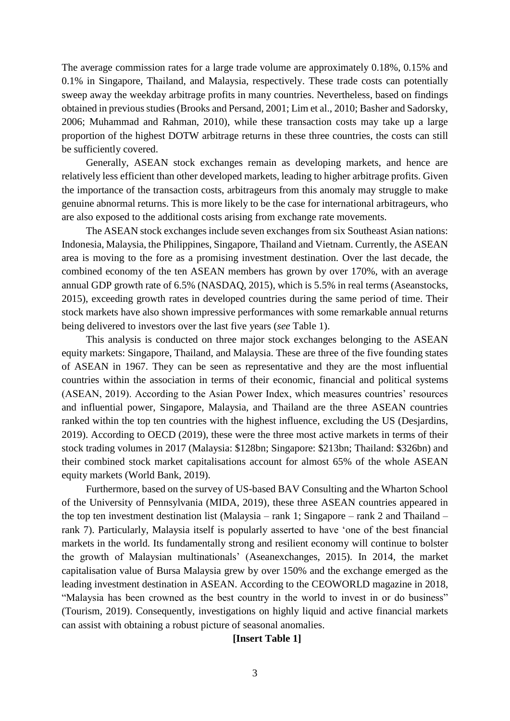The average commission rates for a large trade volume are approximately 0.18%, 0.15% and 0.1% in Singapore, Thailand, and Malaysia, respectively. These trade costs can potentially sweep away the weekday arbitrage profits in many countries. Nevertheless, based on findings obtained in previous studies (Brooks and Persand, 2001; Lim et al., 2010; Basher and Sadorsky, 2006; Muhammad and Rahman, 2010), while these transaction costs may take up a large proportion of the highest DOTW arbitrage returns in these three countries, the costs can still be sufficiently covered.

Generally, ASEAN stock exchanges remain as developing markets, and hence are relatively less efficient than other developed markets, leading to higher arbitrage profits. Given the importance of the transaction costs, arbitrageurs from this anomaly may struggle to make genuine abnormal returns. This is more likely to be the case for international arbitrageurs, who are also exposed to the additional costs arising from exchange rate movements.

The ASEAN stock exchanges include seven exchanges from six Southeast Asian nations: Indonesia, Malaysia, the Philippines, Singapore, Thailand and Vietnam. Currently, the ASEAN area is moving to the fore as a promising investment destination. Over the last decade, the combined economy of the ten ASEAN members has grown by over 170%, with an average annual GDP growth rate of 6.5% (NASDAQ, 2015), which is 5.5% in real terms (Aseanstocks, 2015), exceeding growth rates in developed countries during the same period of time. Their stock markets have also shown impressive performances with some remarkable annual returns being delivered to investors over the last five years (*see* Table 1).

This analysis is conducted on three major stock exchanges belonging to the ASEAN equity markets: Singapore, Thailand, and Malaysia. These are three of the five founding states of ASEAN in 1967. They can be seen as representative and they are the most influential countries within the association in terms of their economic, financial and political systems (ASEAN, 2019). According to the Asian Power Index, which measures countries' resources and influential power, Singapore, Malaysia, and Thailand are the three ASEAN countries ranked within the top ten countries with the highest influence, excluding the US (Desjardins, 2019). According to OECD (2019), these were the three most active markets in terms of their stock trading volumes in 2017 (Malaysia: \$128bn; Singapore: \$213bn; Thailand: \$326bn) and their combined stock market capitalisations account for almost 65% of the whole ASEAN equity markets (World Bank, 2019).

Furthermore, based on the survey of US-based BAV Consulting and the Wharton School of the University of Pennsylvania (MIDA, 2019), these three ASEAN countries appeared in the top ten investment destination list (Malaysia – rank 1; Singapore – rank 2 and Thailand – rank 7). Particularly, Malaysia itself is popularly asserted to have 'one of the best financial markets in the world. Its fundamentally strong and resilient economy will continue to bolster the growth of Malaysian multinationals' (Aseanexchanges, 2015). In 2014, the market capitalisation value of Bursa Malaysia grew by over 150% and the exchange emerged as the leading investment destination in ASEAN. According to the CEOWORLD magazine in 2018, "Malaysia has been crowned as the best country in the world to invest in or do business" (Tourism, 2019). Consequently, investigations on highly liquid and active financial markets can assist with obtaining a robust picture of seasonal anomalies.

#### **[Insert Table 1]**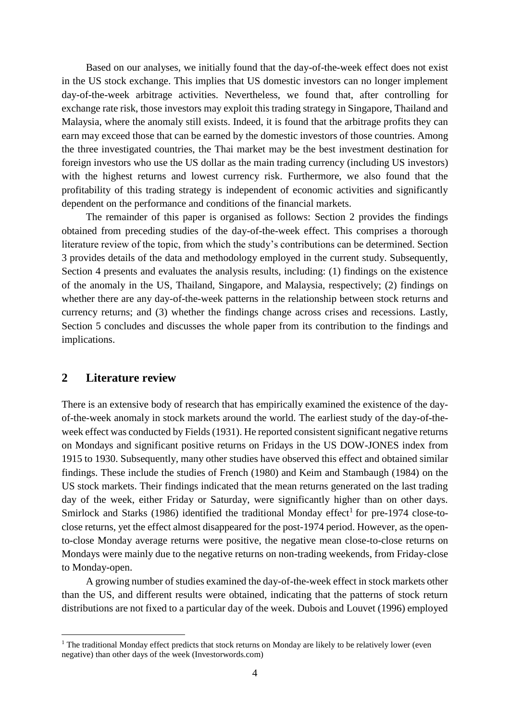Based on our analyses, we initially found that the day-of-the-week effect does not exist in the US stock exchange. This implies that US domestic investors can no longer implement day-of-the-week arbitrage activities. Nevertheless, we found that, after controlling for exchange rate risk, those investors may exploit this trading strategy in Singapore, Thailand and Malaysia, where the anomaly still exists. Indeed, it is found that the arbitrage profits they can earn may exceed those that can be earned by the domestic investors of those countries. Among the three investigated countries, the Thai market may be the best investment destination for foreign investors who use the US dollar as the main trading currency (including US investors) with the highest returns and lowest currency risk. Furthermore, we also found that the profitability of this trading strategy is independent of economic activities and significantly dependent on the performance and conditions of the financial markets.

The remainder of this paper is organised as follows: Section 2 provides the findings obtained from preceding studies of the day-of-the-week effect. This comprises a thorough literature review of the topic, from which the study's contributions can be determined. Section 3 provides details of the data and methodology employed in the current study. Subsequently, Section 4 presents and evaluates the analysis results, including: (1) findings on the existence of the anomaly in the US, Thailand, Singapore, and Malaysia, respectively; (2) findings on whether there are any day-of-the-week patterns in the relationship between stock returns and currency returns; and (3) whether the findings change across crises and recessions. Lastly, Section 5 concludes and discusses the whole paper from its contribution to the findings and implications.

### **2 Literature review**

1

There is an extensive body of research that has empirically examined the existence of the dayof-the-week anomaly in stock markets around the world. The earliest study of the day-of-theweek effect was conducted by Fields (1931). He reported consistent significant negative returns on Mondays and significant positive returns on Fridays in the US DOW-JONES index from 1915 to 1930. Subsequently, many other studies have observed this effect and obtained similar findings. These include the studies of French (1980) and Keim and Stambaugh (1984) on the US stock markets. Their findings indicated that the mean returns generated on the last trading day of the week, either Friday or Saturday, were significantly higher than on other days. Smirlock and Starks (1986) identified the traditional Monday effect<sup>1</sup> for pre-1974 close-toclose returns, yet the effect almost disappeared for the post-1974 period. However, as the opento-close Monday average returns were positive, the negative mean close-to-close returns on Mondays were mainly due to the negative returns on non-trading weekends, from Friday-close to Monday-open.

A growing number of studies examined the day-of-the-week effect in stock markets other than the US, and different results were obtained, indicating that the patterns of stock return distributions are not fixed to a particular day of the week. Dubois and Louvet (1996) employed

<sup>&</sup>lt;sup>1</sup> The traditional Monday effect predicts that stock returns on Monday are likely to be relatively lower (even negative) than other days of the week (Investorwords.com)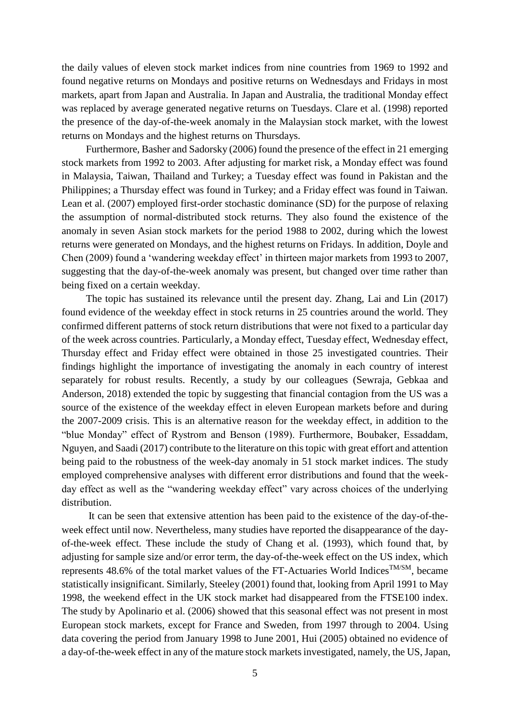the daily values of eleven stock market indices from nine countries from 1969 to 1992 and found negative returns on Mondays and positive returns on Wednesdays and Fridays in most markets, apart from Japan and Australia. In Japan and Australia, the traditional Monday effect was replaced by average generated negative returns on Tuesdays. Clare et al. (1998) reported the presence of the day-of-the-week anomaly in the Malaysian stock market, with the lowest returns on Mondays and the highest returns on Thursdays.

Furthermore, Basher and Sadorsky (2006) found the presence of the effect in 21 emerging stock markets from 1992 to 2003. After adjusting for market risk, a Monday effect was found in Malaysia, Taiwan, Thailand and Turkey; a Tuesday effect was found in Pakistan and the Philippines; a Thursday effect was found in Turkey; and a Friday effect was found in Taiwan. Lean et al. (2007) employed first-order stochastic dominance (SD) for the purpose of relaxing the assumption of normal-distributed stock returns. They also found the existence of the anomaly in seven Asian stock markets for the period 1988 to 2002, during which the lowest returns were generated on Mondays, and the highest returns on Fridays. In addition, Doyle and Chen (2009) found a 'wandering weekday effect' in thirteen major markets from 1993 to 2007, suggesting that the day-of-the-week anomaly was present, but changed over time rather than being fixed on a certain weekday.

The topic has sustained its relevance until the present day. Zhang, Lai and Lin (2017) found evidence of the weekday effect in stock returns in 25 countries around the world. They confirmed different patterns of stock return distributions that were not fixed to a particular day of the week across countries. Particularly, a Monday effect, Tuesday effect, Wednesday effect, Thursday effect and Friday effect were obtained in those 25 investigated countries. Their findings highlight the importance of investigating the anomaly in each country of interest separately for robust results. Recently, a study by our colleagues (Sewraja, Gebkaa and Anderson, 2018) extended the topic by suggesting that financial contagion from the US was a source of the existence of the weekday effect in eleven European markets before and during the 2007-2009 crisis. This is an alternative reason for the weekday effect, in addition to the "blue Monday" effect of Rystrom and Benson (1989). Furthermore, Boubaker, Essaddam, Nguyen, and Saadi (2017) contribute to the literature on this topic with great effort and attention being paid to the robustness of the week-day anomaly in 51 stock market indices. The study employed comprehensive analyses with different error distributions and found that the weekday effect as well as the "wandering weekday effect" vary across choices of the underlying distribution.

It can be seen that extensive attention has been paid to the existence of the day-of-theweek effect until now. Nevertheless, many studies have reported the disappearance of the dayof-the-week effect. These include the study of Chang et al. (1993), which found that, by adjusting for sample size and/or error term, the day-of-the-week effect on the US index, which represents 48.6% of the total market values of the FT-Actuaries World Indices<sup>TM/SM</sup>, became statistically insignificant. Similarly, Steeley (2001) found that, looking from April 1991 to May 1998, the weekend effect in the UK stock market had disappeared from the FTSE100 index. The study by Apolinario et al. (2006) showed that this seasonal effect was not present in most European stock markets, except for France and Sweden, from 1997 through to 2004. Using data covering the period from January 1998 to June 2001, Hui (2005) obtained no evidence of a day-of-the-week effect in any of the mature stock markets investigated, namely, the US, Japan,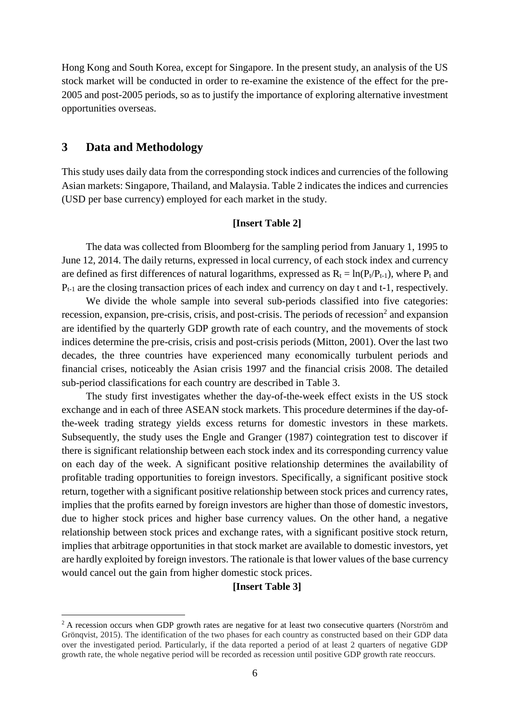Hong Kong and South Korea, except for Singapore. In the present study, an analysis of the US stock market will be conducted in order to re-examine the existence of the effect for the pre-2005 and post-2005 periods, so as to justify the importance of exploring alternative investment opportunities overseas.

### **3 Data and Methodology**

<u>.</u>

This study uses daily data from the corresponding stock indices and currencies of the following Asian markets: Singapore, Thailand, and Malaysia. Table 2 indicates the indices and currencies (USD per base currency) employed for each market in the study.

#### **[Insert Table 2]**

The data was collected from Bloomberg for the sampling period from January 1, 1995 to June 12, 2014. The daily returns, expressed in local currency, of each stock index and currency are defined as first differences of natural logarithms, expressed as  $R_t = \ln(P_t/P_{t-1})$ , where  $P_t$  and  $P_{t-1}$  are the closing transaction prices of each index and currency on day t and t-1, respectively.

We divide the whole sample into several sub-periods classified into five categories: recession, expansion, pre-crisis, crisis, and post-crisis. The periods of recession<sup>2</sup> and expansion are identified by the quarterly GDP growth rate of each country, and the movements of stock indices determine the pre-crisis, crisis and post-crisis periods (Mitton, 2001). Over the last two decades, the three countries have experienced many economically turbulent periods and financial crises, noticeably the Asian crisis 1997 and the financial crisis 2008. The detailed sub-period classifications for each country are described in Table 3.

The study first investigates whether the day-of-the-week effect exists in the US stock exchange and in each of three ASEAN stock markets. This procedure determines if the day-ofthe-week trading strategy yields excess returns for domestic investors in these markets. Subsequently, the study uses the Engle and Granger (1987) cointegration test to discover if there is significant relationship between each stock index and its corresponding currency value on each day of the week. A significant positive relationship determines the availability of profitable trading opportunities to foreign investors. Specifically, a significant positive stock return, together with a significant positive relationship between stock prices and currency rates, implies that the profits earned by foreign investors are higher than those of domestic investors, due to higher stock prices and higher base currency values. On the other hand, a negative relationship between stock prices and exchange rates, with a significant positive stock return, implies that arbitrage opportunities in that stock market are available to domestic investors, yet are hardly exploited by foreign investors. The rationale is that lower values of the base currency would cancel out the gain from higher domestic stock prices.

#### **[Insert Table 3]**

<sup>&</sup>lt;sup>2</sup> A recession occurs when GDP growth rates are negative for at least two consecutive quarters (Norström and Grönqvist, 2015). The identification of the two phases for each country as constructed based on their GDP data over the investigated period. Particularly, if the data reported a period of at least 2 quarters of negative GDP growth rate, the whole negative period will be recorded as recession until positive GDP growth rate reoccurs.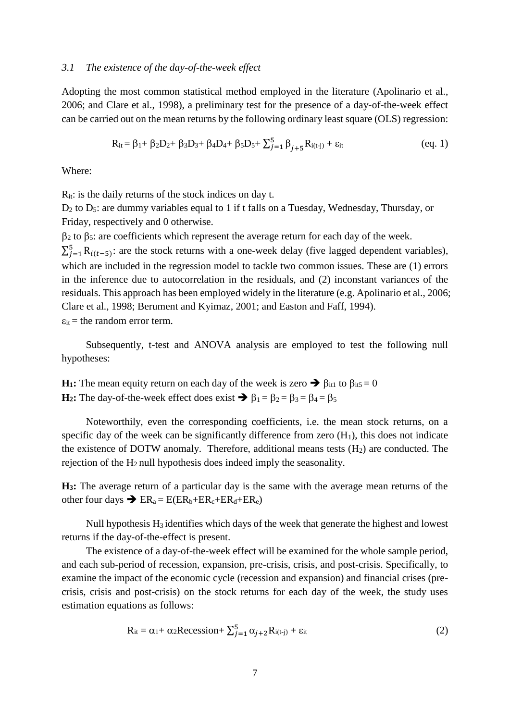#### *3.1 The existence of the day-of-the-week effect*

Adopting the most common statistical method employed in the literature (Apolinario et al., 2006; and Clare et al., 1998), a preliminary test for the presence of a day-of-the-week effect can be carried out on the mean returns by the following ordinary least square (OLS) regression:

$$
R_{it} = \beta_1 + \beta_2 D_2 + \beta_3 D_3 + \beta_4 D_4 + \beta_5 D_5 + \sum_{j=1}^5 \beta_{j+5} R_{i(t-j)} + \varepsilon_{it}
$$
 (eq. 1)

Where:

 $R_{it}$ : is the daily returns of the stock indices on day t.

D<sub>2</sub> to D<sub>5</sub>: are dummy variables equal to 1 if t falls on a Tuesday, Wednesday, Thursday, or Friday, respectively and 0 otherwise.

 $\beta_2$  to  $\beta_5$ : are coefficients which represent the average return for each day of the week.

 $\sum_{j=1}^{5} R_{i(t-5)}$ : are the stock returns with a one-week delay (five lagged dependent variables), which are included in the regression model to tackle two common issues. These are  $(1)$  errors in the inference due to autocorrelation in the residuals, and (2) inconstant variances of the residuals. This approach has been employed widely in the literature (e.g. Apolinario et al., 2006; Clare et al., 1998; Berument and Kyimaz, 2001; and Easton and Faff, 1994).  $\varepsilon_{it}$  = the random error term.

Subsequently, t-test and ANOVA analysis are employed to test the following null hypotheses:

**H<sub>1</sub>**: The mean equity return on each day of the week is zero  $\rightarrow \beta_{it1}$  to  $\beta_{it5} = 0$ **H<sub>2</sub>**: The day-of-the-week effect does exist  $\rightarrow \beta_1 = \beta_2 = \beta_3 = \beta_4 = \beta_5$ 

Noteworthily, even the corresponding coefficients, i.e. the mean stock returns, on a specific day of the week can be significantly difference from zero  $(H_1)$ , this does not indicate the existence of DOTW anomaly. Therefore, additional means tests  $(H<sub>2</sub>)$  are conducted. The rejection of the H2 null hypothesis does indeed imply the seasonality.

**H3:** The average return of a particular day is the same with the average mean returns of the other four days  $\rightarrow ER_a = E(ER_b + ER_c + ER_d + ER_e)$ 

Null hypothesis H3 identifies which days of the week that generate the highest and lowest returns if the day-of-the-effect is present.

The existence of a day-of-the-week effect will be examined for the whole sample period, and each sub-period of recession, expansion, pre-crisis, crisis, and post-crisis. Specifically, to examine the impact of the economic cycle (recession and expansion) and financial crises (precrisis, crisis and post-crisis) on the stock returns for each day of the week, the study uses estimation equations as follows:

$$
R_{it} = \alpha_1 + \alpha_2 \text{Recession} + \sum_{j=1}^{5} \alpha_{j+2} R_{i(t-j)} + \varepsilon_{it}
$$
 (2)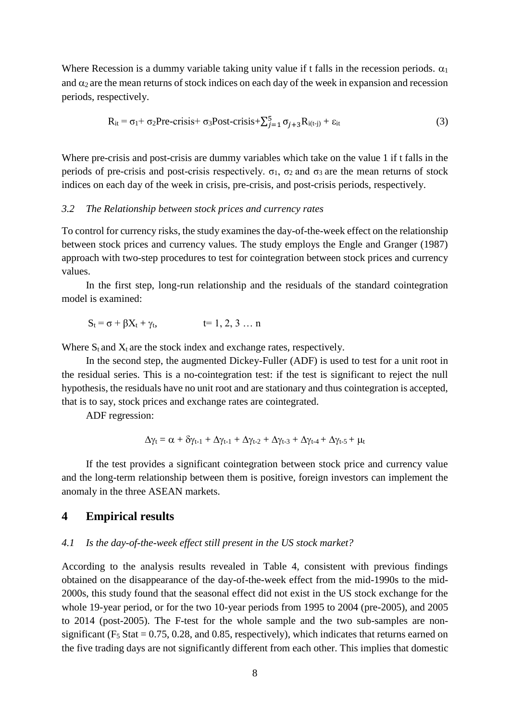Where Recession is a dummy variable taking unity value if t falls in the recession periods.  $\alpha_1$ and  $\alpha_2$  are the mean returns of stock indices on each day of the week in expansion and recession periods, respectively.

$$
R_{it} = \sigma_1 + \sigma_2 \text{Pre-crisis} + \sigma_3 \text{Post-crisis} + \sum_{j=1}^{5} \sigma_{j+3} R_{i(t-j)} + \varepsilon_{it}
$$
 (3)

Where pre-crisis and post-crisis are dummy variables which take on the value 1 if t falls in the periods of pre-crisis and post-crisis respectively.  $\sigma_1$ ,  $\sigma_2$  and  $\sigma_3$  are the mean returns of stock indices on each day of the week in crisis, pre-crisis, and post-crisis periods, respectively.

#### *3.2 The Relationship between stock prices and currency rates*

To control for currency risks, the study examines the day-of-the-week effect on the relationship between stock prices and currency values. The study employs the Engle and Granger (1987) approach with two-step procedures to test for cointegration between stock prices and currency values.

In the first step, long-run relationship and the residuals of the standard cointegration model is examined:

$$
S_t = \sigma + \beta X_t + \gamma_t, \qquad \qquad t = 1, 2, 3 \dots n
$$

Where  $S_t$  and  $X_t$  are the stock index and exchange rates, respectively.

In the second step, the augmented Dickey-Fuller (ADF) is used to test for a unit root in the residual series. This is a no-cointegration test: if the test is significant to reject the null hypothesis, the residuals have no unit root and are stationary and thus cointegration is accepted, that is to say, stock prices and exchange rates are cointegrated.

ADF regression:

$$
\Delta \gamma_t = \alpha + \delta \gamma_{t-1} + \Delta \gamma_{t-1} + \Delta \gamma_{t-2} + \Delta \gamma_{t-3} + \Delta \gamma_{t-4} + \Delta \gamma_{t-5} + \mu_t
$$

If the test provides a significant cointegration between stock price and currency value and the long-term relationship between them is positive, foreign investors can implement the anomaly in the three ASEAN markets.

### **4 Empirical results**

#### *4.1 Is the day-of-the-week effect still present in the US stock market?*

According to the analysis results revealed in Table 4, consistent with previous findings obtained on the disappearance of the day-of-the-week effect from the mid-1990s to the mid-2000s, this study found that the seasonal effect did not exist in the US stock exchange for the whole 19-year period, or for the two 10-year periods from 1995 to 2004 (pre-2005), and 2005 to 2014 (post-2005). The F-test for the whole sample and the two sub-samples are nonsignificant ( $F_5$  Stat = 0.75, 0.28, and 0.85, respectively), which indicates that returns earned on the five trading days are not significantly different from each other. This implies that domestic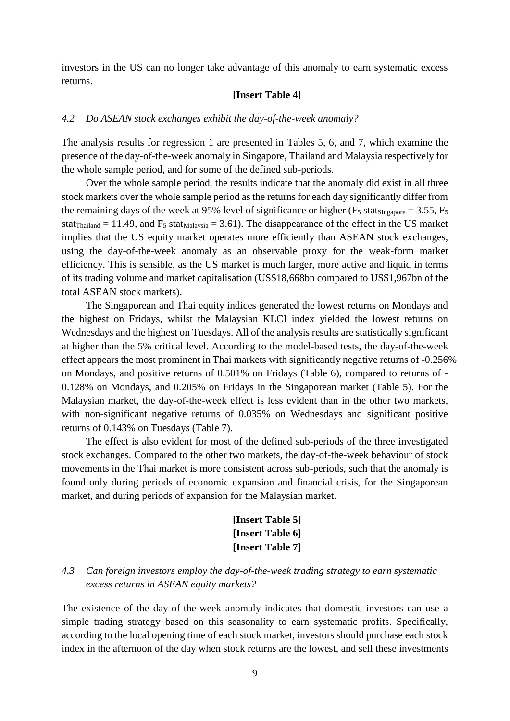investors in the US can no longer take advantage of this anomaly to earn systematic excess returns.

#### **[Insert Table 4]**

### *4.2 Do ASEAN stock exchanges exhibit the day-of-the-week anomaly?*

The analysis results for regression 1 are presented in Tables 5, 6, and 7, which examine the presence of the day-of-the-week anomaly in Singapore, Thailand and Malaysia respectively for the whole sample period, and for some of the defined sub-periods.

Over the whole sample period, the results indicate that the anomaly did exist in all three stock markets over the whole sample period as the returns for each day significantly differ from the remaining days of the week at 95% level of significance or higher ( $F_5$  stats $_{\text{ingapore}}$  = 3.55,  $F_5$ ) stat<sub>Thailand</sub> = 11.49, and  $F_5$  stat<sub>Malaysia</sub> = 3.61). The disappearance of the effect in the US market implies that the US equity market operates more efficiently than ASEAN stock exchanges, using the day-of-the-week anomaly as an observable proxy for the weak-form market efficiency. This is sensible, as the US market is much larger, more active and liquid in terms of its trading volume and market capitalisation (US\$18,668bn compared to US\$1,967bn of the total ASEAN stock markets).

The Singaporean and Thai equity indices generated the lowest returns on Mondays and the highest on Fridays, whilst the Malaysian KLCI index yielded the lowest returns on Wednesdays and the highest on Tuesdays. All of the analysis results are statistically significant at higher than the 5% critical level. According to the model-based tests, the day-of-the-week effect appears the most prominent in Thai markets with significantly negative returns of -0.256% on Mondays, and positive returns of 0.501% on Fridays (Table 6), compared to returns of - 0.128% on Mondays, and 0.205% on Fridays in the Singaporean market (Table 5). For the Malaysian market, the day-of-the-week effect is less evident than in the other two markets, with non-significant negative returns of 0.035% on Wednesdays and significant positive returns of 0.143% on Tuesdays (Table 7).

The effect is also evident for most of the defined sub-periods of the three investigated stock exchanges. Compared to the other two markets, the day-of-the-week behaviour of stock movements in the Thai market is more consistent across sub-periods, such that the anomaly is found only during periods of economic expansion and financial crisis, for the Singaporean market, and during periods of expansion for the Malaysian market.

# **[Insert Table 5] [Insert Table 6] [Insert Table 7]**

*4.3 Can foreign investors employ the day-of-the-week trading strategy to earn systematic excess returns in ASEAN equity markets?*

The existence of the day-of-the-week anomaly indicates that domestic investors can use a simple trading strategy based on this seasonality to earn systematic profits. Specifically, according to the local opening time of each stock market, investors should purchase each stock index in the afternoon of the day when stock returns are the lowest, and sell these investments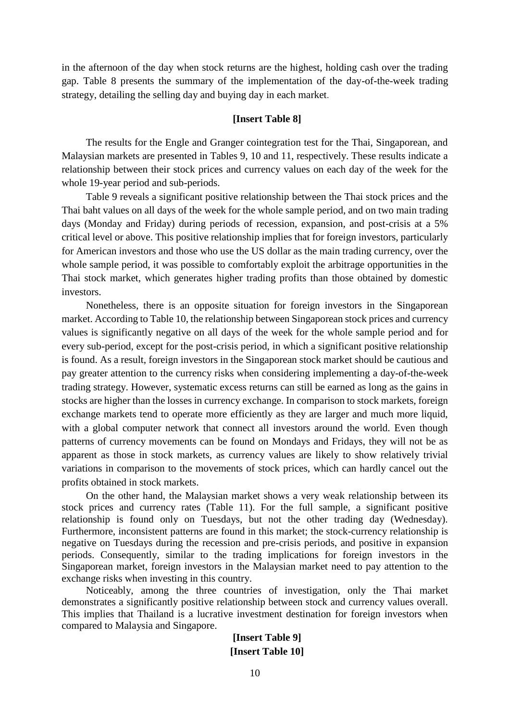in the afternoon of the day when stock returns are the highest, holding cash over the trading gap. Table 8 presents the summary of the implementation of the day-of-the-week trading strategy, detailing the selling day and buying day in each market.

#### **[Insert Table 8]**

The results for the Engle and Granger cointegration test for the Thai, Singaporean, and Malaysian markets are presented in Tables 9, 10 and 11, respectively. These results indicate a relationship between their stock prices and currency values on each day of the week for the whole 19-year period and sub-periods.

Table 9 reveals a significant positive relationship between the Thai stock prices and the Thai baht values on all days of the week for the whole sample period, and on two main trading days (Monday and Friday) during periods of recession, expansion, and post-crisis at a 5% critical level or above. This positive relationship implies that for foreign investors, particularly for American investors and those who use the US dollar as the main trading currency, over the whole sample period, it was possible to comfortably exploit the arbitrage opportunities in the Thai stock market, which generates higher trading profits than those obtained by domestic investors.

Nonetheless, there is an opposite situation for foreign investors in the Singaporean market. According to Table 10, the relationship between Singaporean stock prices and currency values is significantly negative on all days of the week for the whole sample period and for every sub-period, except for the post-crisis period, in which a significant positive relationship is found. As a result, foreign investors in the Singaporean stock market should be cautious and pay greater attention to the currency risks when considering implementing a day-of-the-week trading strategy. However, systematic excess returns can still be earned as long as the gains in stocks are higher than the losses in currency exchange. In comparison to stock markets, foreign exchange markets tend to operate more efficiently as they are larger and much more liquid, with a global computer network that connect all investors around the world. Even though patterns of currency movements can be found on Mondays and Fridays, they will not be as apparent as those in stock markets, as currency values are likely to show relatively trivial variations in comparison to the movements of stock prices, which can hardly cancel out the profits obtained in stock markets.

On the other hand, the Malaysian market shows a very weak relationship between its stock prices and currency rates (Table 11). For the full sample, a significant positive relationship is found only on Tuesdays, but not the other trading day (Wednesday). Furthermore, inconsistent patterns are found in this market; the stock-currency relationship is negative on Tuesdays during the recession and pre-crisis periods, and positive in expansion periods. Consequently, similar to the trading implications for foreign investors in the Singaporean market, foreign investors in the Malaysian market need to pay attention to the exchange risks when investing in this country.

Noticeably, among the three countries of investigation, only the Thai market demonstrates a significantly positive relationship between stock and currency values overall. This implies that Thailand is a lucrative investment destination for foreign investors when compared to Malaysia and Singapore.

### **[Insert Table 9] [Insert Table 10]**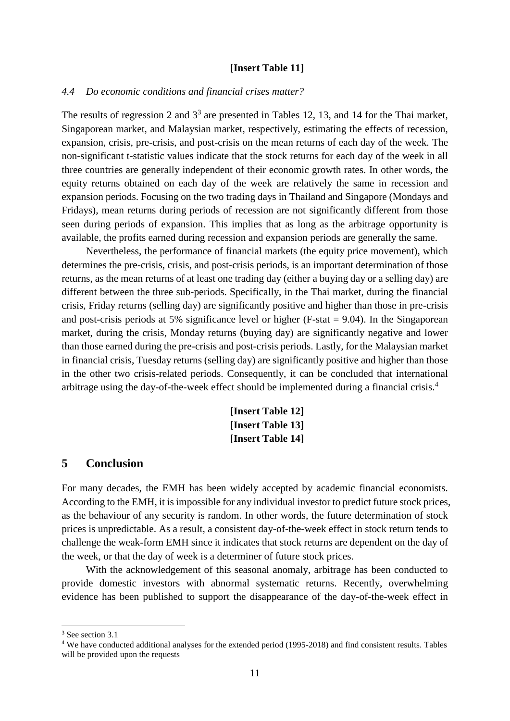#### **[Insert Table 11]**

#### *4.4 Do economic conditions and financial crises matter?*

The results of regression 2 and  $3<sup>3</sup>$  are presented in Tables 12, 13, and 14 for the Thai market, Singaporean market, and Malaysian market, respectively, estimating the effects of recession, expansion, crisis, pre-crisis, and post-crisis on the mean returns of each day of the week. The non-significant t-statistic values indicate that the stock returns for each day of the week in all three countries are generally independent of their economic growth rates. In other words, the equity returns obtained on each day of the week are relatively the same in recession and expansion periods. Focusing on the two trading days in Thailand and Singapore (Mondays and Fridays), mean returns during periods of recession are not significantly different from those seen during periods of expansion. This implies that as long as the arbitrage opportunity is available, the profits earned during recession and expansion periods are generally the same.

Nevertheless, the performance of financial markets (the equity price movement), which determines the pre-crisis, crisis, and post-crisis periods, is an important determination of those returns, as the mean returns of at least one trading day (either a buying day or a selling day) are different between the three sub-periods. Specifically, in the Thai market, during the financial crisis, Friday returns (selling day) are significantly positive and higher than those in pre-crisis and post-crisis periods at 5% significance level or higher (F-stat  $= 9.04$ ). In the Singaporean market, during the crisis, Monday returns (buying day) are significantly negative and lower than those earned during the pre-crisis and post-crisis periods. Lastly, for the Malaysian market in financial crisis, Tuesday returns (selling day) are significantly positive and higher than those in the other two crisis-related periods. Consequently, it can be concluded that international arbitrage using the day-of-the-week effect should be implemented during a financial crisis.<sup>4</sup>

> **[Insert Table 12] [Insert Table 13] [Insert Table 14]**

### **5 Conclusion**

For many decades, the EMH has been widely accepted by academic financial economists. According to the EMH, it is impossible for any individual investor to predict future stock prices, as the behaviour of any security is random. In other words, the future determination of stock prices is unpredictable. As a result, a consistent day-of-the-week effect in stock return tends to challenge the weak-form EMH since it indicates that stock returns are dependent on the day of the week, or that the day of week is a determiner of future stock prices.

With the acknowledgement of this seasonal anomaly, arbitrage has been conducted to provide domestic investors with abnormal systematic returns. Recently, overwhelming evidence has been published to support the disappearance of the day-of-the-week effect in

<sup>3</sup> See section 3.1

1

<sup>4</sup> We have conducted additional analyses for the extended period (1995-2018) and find consistent results. Tables will be provided upon the requests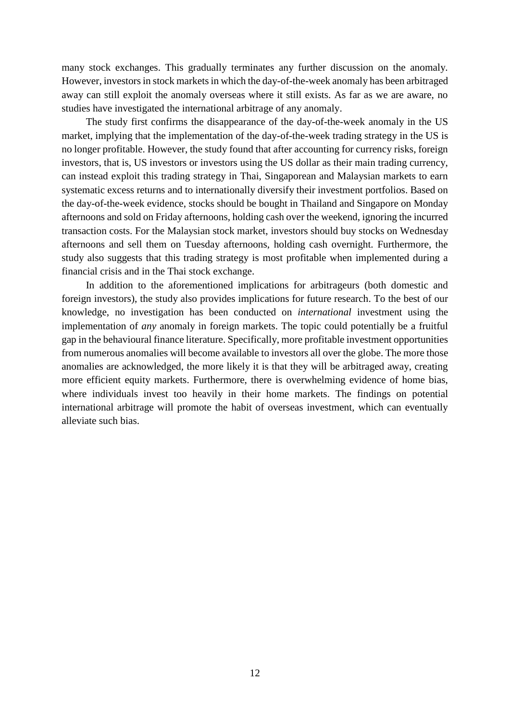many stock exchanges. This gradually terminates any further discussion on the anomaly. However, investors in stock markets in which the day-of-the-week anomaly has been arbitraged away can still exploit the anomaly overseas where it still exists. As far as we are aware, no studies have investigated the international arbitrage of any anomaly.

The study first confirms the disappearance of the day-of-the-week anomaly in the US market, implying that the implementation of the day-of-the-week trading strategy in the US is no longer profitable. However, the study found that after accounting for currency risks, foreign investors, that is, US investors or investors using the US dollar as their main trading currency, can instead exploit this trading strategy in Thai, Singaporean and Malaysian markets to earn systematic excess returns and to internationally diversify their investment portfolios. Based on the day-of-the-week evidence, stocks should be bought in Thailand and Singapore on Monday afternoons and sold on Friday afternoons, holding cash over the weekend, ignoring the incurred transaction costs. For the Malaysian stock market, investors should buy stocks on Wednesday afternoons and sell them on Tuesday afternoons, holding cash overnight. Furthermore, the study also suggests that this trading strategy is most profitable when implemented during a financial crisis and in the Thai stock exchange.

In addition to the aforementioned implications for arbitrageurs (both domestic and foreign investors), the study also provides implications for future research. To the best of our knowledge, no investigation has been conducted on *international* investment using the implementation of *any* anomaly in foreign markets. The topic could potentially be a fruitful gap in the behavioural finance literature. Specifically, more profitable investment opportunities from numerous anomalies will become available to investors all over the globe. The more those anomalies are acknowledged, the more likely it is that they will be arbitraged away, creating more efficient equity markets. Furthermore, there is overwhelming evidence of home bias, where individuals invest too heavily in their home markets. The findings on potential international arbitrage will promote the habit of overseas investment, which can eventually alleviate such bias.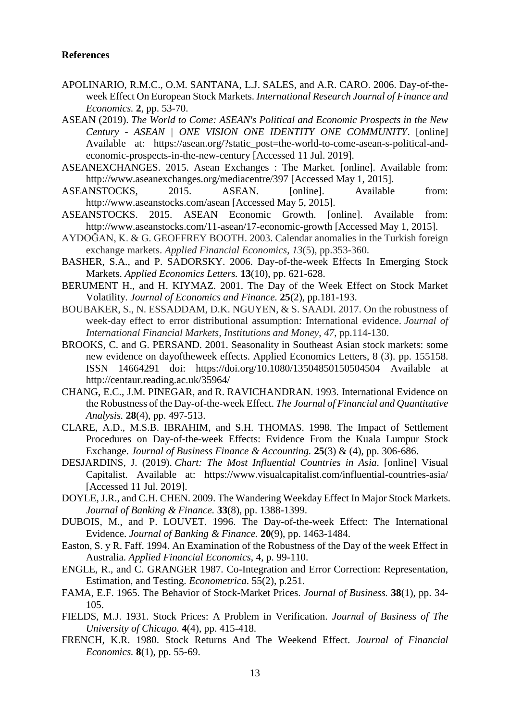#### **References**

- APOLINARIO, R.M.C., O.M. SANTANA, L.J. SALES, and A.R. CARO. 2006. Day-of-theweek Effect On European Stock Markets. *International Research Journal of Finance and Economics.* **2**, pp. 53-70.
- ASEAN (2019). *The World to Come: ASEAN's Political and Economic Prospects in the New Century - ASEAN | ONE VISION ONE IDENTITY ONE COMMUNITY*. [online] Available at: https://asean.org/?static\_post=the-world-to-come-asean-s-political-andeconomic-prospects-in-the-new-century [Accessed 11 Jul. 2019].
- ASEANEXCHANGES. 2015. Asean Exchanges : The Market. [online]. Available from: http://www.aseanexchanges.org/mediacentre/397 [Accessed May 1, 2015].
- ASEANSTOCKS, 2015. ASEAN. [online]. Available from: http://www.aseanstocks.com/asean [Accessed May 5, 2015].
- ASEANSTOCKS. 2015. ASEAN Economic Growth. [online]. Available from: http://www.aseanstocks.com/11-asean/17-economic-growth [Accessed May 1, 2015].
- AYDOĞAN, K. & G. GEOFFREY BOOTH. 2003. Calendar anomalies in the Turkish foreign exchange markets. *Applied Financial Economics*, *13*(5), pp.353-360.
- BASHER, S.A., and P. SADORSKY. 2006. Day-of-the-week Effects In Emerging Stock Markets. *Applied Economics Letters.* **13**(10), pp. 621-628.
- BERUMENT H., and H. KIYMAZ. 2001. The Day of the Week Effect on Stock Market Volatility. *Journal of Economics and Finance.* **25**(2), pp.181-193.
- BOUBAKER, S., N. ESSADDAM, D.K. NGUYEN, & S. SAADI. 2017. On the robustness of week-day effect to error distributional assumption: International evidence. *Journal of International Financial Markets, Institutions and Money*, *47*, pp.114-130.
- BROOKS, C. and G. PERSAND. 2001. Seasonality in Southeast Asian stock markets: some new evidence on dayoftheweek effects. Applied Economics Letters, 8 (3). pp. 155158. ISSN 14664291 doi: https://doi.org/10.1080/13504850150504504 Available at http://centaur.reading.ac.uk/35964/
- CHANG, E.C., J.M. PINEGAR, and R. RAVICHANDRAN. 1993. International Evidence on the Robustness of the Day-of-the-week Effect. *The Journal of Financial and Quantitative Analysis.* **28**(4), pp. 497-513.
- CLARE, A.D., M.S.B. IBRAHIM, and S.H. THOMAS. 1998. The Impact of Settlement Procedures on Day-of-the-week Effects: Evidence From the Kuala Lumpur Stock Exchange. *Journal of Business Finance & Accounting.* **25**(3) & (4), pp. 306-686.
- DESJARDINS, J. (2019). *Chart: The Most Influential Countries in Asia*. [online] Visual Capitalist. Available at: https://www.visualcapitalist.com/influential-countries-asia/ [Accessed 11 Jul. 2019].
- DOYLE, J.R., and C.H. CHEN. 2009. The Wandering Weekday Effect In Major Stock Markets. *Journal of Banking & Finance.* **33**(8), pp. 1388-1399.
- DUBOIS, M., and P. LOUVET. 1996. The Day-of-the-week Effect: The International Evidence. *Journal of Banking & Finance.* **20**(9), pp. 1463-1484.
- Easton, S. y R. Faff. 1994. An Examination of the Robustness of the Day of the week Effect in Australia. *Applied Financial Economics*, 4, p. 99-110.
- ENGLE, R., and C. GRANGER 1987. Co-Integration and Error Correction: Representation, Estimation, and Testing. *Econometrica*. 55(2), p.251.
- FAMA, E.F. 1965. The Behavior of Stock-Market Prices. *Journal of Business.* **38**(1), pp. 34- 105.
- FIELDS, M.J. 1931. Stock Prices: A Problem in Verification. *Journal of Business of The University of Chicago.* **4**(4), pp. 415-418.
- FRENCH, K.R. 1980. Stock Returns And The Weekend Effect. *Journal of Financial Economics.* **8**(1), pp. 55-69.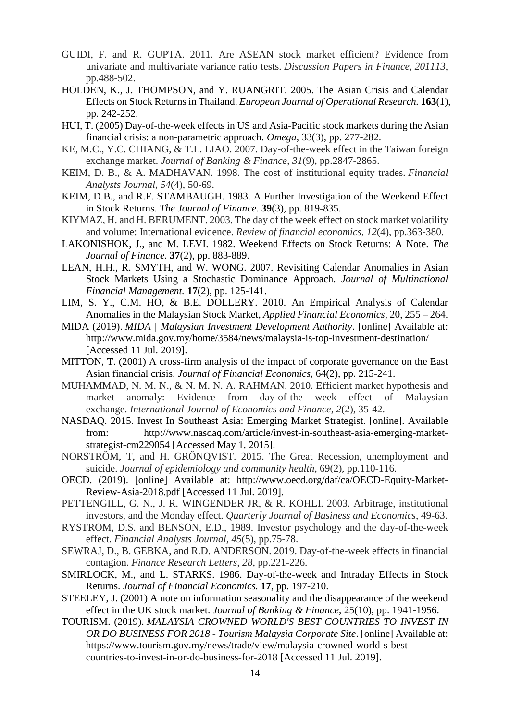- GUIDI, F. and R. GUPTA. 2011. Are ASEAN stock market efficient? Evidence from univariate and multivariate variance ratio tests. *Discussion Papers in Finance*, *201113*, pp.488-502.
- HOLDEN, K., J. THOMPSON, and Y. RUANGRIT. 2005. The Asian Crisis and Calendar Effects on Stock Returns in Thailand. *European Journal of Operational Research.* **163**(1), pp. 242-252.
- HUI, T. (2005) Day-of-the-week effects in US and Asia-Pacific stock markets during the Asian financial crisis: a non-parametric approach. *Omega*, 33(3), pp. 277-282.
- KE, M.C., Y.C. CHIANG, & T.L. LIAO. 2007. Day-of-the-week effect in the Taiwan foreign exchange market. *Journal of Banking & Finance*, *31*(9), pp.2847-2865.
- KEIM, D. B., & A. MADHAVAN. 1998. The cost of institutional equity trades. *Financial Analysts Journal*, *54*(4), 50-69.
- KEIM, D.B., and R.F. STAMBAUGH. 1983. A Further Investigation of the Weekend Effect in Stock Returns. *The Journal of Finance.* **39**(3), pp. 819-835.
- KIYMAZ, H. and H. BERUMENT. 2003. The day of the week effect on stock market volatility and volume: International evidence. *Review of financial economics*, *12*(4), pp.363-380.
- LAKONISHOK, J., and M. LEVI. 1982. Weekend Effects on Stock Returns: A Note. *The Journal of Finance.* **37**(2), pp. 883-889.
- LEAN, H.H., R. SMYTH, and W. WONG. 2007. Revisiting Calendar Anomalies in Asian Stock Markets Using a Stochastic Dominance Approach. *Journal of Multinational Financial Management.* **17**(2), pp. 125-141.
- LIM, S. Y., C.M. HO, & B.E. DOLLERY. 2010. An Empirical Analysis of Calendar Anomalies in the Malaysian Stock Market, *Applied Financial Economics*, 20, 255 – 264.
- MIDA (2019). *MIDA | Malaysian Investment Development Authority*. [online] Available at: http://www.mida.gov.my/home/3584/news/malaysia-is-top-investment-destination/ [Accessed 11 Jul. 2019].
- MITTON, T. (2001) A cross-firm analysis of the impact of corporate governance on the East Asian financial crisis. *Journal of Financial Economics*, 64(2), pp. 215-241.
- MUHAMMAD, N. M. N., & N. M. N. A. RAHMAN. 2010. Efficient market hypothesis and market anomaly: Evidence from day-of-the week effect of Malaysian exchange. *International Journal of Economics and Finance*, *2*(2), 35-42.
- NASDAQ. 2015. Invest In Southeast Asia: Emerging Market Strategist. [online]. Available from: http://www.nasdaq.com/article/invest-in-southeast-asia-emerging-marketstrategist-cm229054 [Accessed May 1, 2015].
- NORSTRÖM, T, and H. GRÖNQVIST. 2015. The Great Recession, unemployment and suicide. *Journal of epidemiology and community health,* 69(2), pp.110-116.
- OECD. (2019). [online] Available at: http://www.oecd.org/daf/ca/OECD-Equity-Market-Review-Asia-2018.pdf [Accessed 11 Jul. 2019].
- PETTENGILL, G. N., J. R. WINGENDER JR, & R. KOHLI. 2003. Arbitrage, institutional investors, and the Monday effect. *Quarterly Journal of Business and Economics*, 49-63.
- RYSTROM, D.S. and BENSON, E.D., 1989. Investor psychology and the day-of-the-week effect. *Financial Analysts Journal*, *45*(5), pp.75-78.
- SEWRAJ, D., B. GEBKA, and R.D. ANDERSON. 2019. Day-of-the-week effects in financial contagion. *Finance Research Letters*, *28*, pp.221-226.
- SMIRLOCK, M., and L. STARKS. 1986. Day-of-the-week and Intraday Effects in Stock Returns. *Journal of Financial Economics.* **17**, pp. 197-210.
- STEELEY, J. (2001) A note on information seasonality and the disappearance of the weekend effect in the UK stock market. *Journal of Banking & Finance*, 25(10), pp. 1941-1956.
- TOURISM. (2019). *MALAYSIA CROWNED WORLD'S BEST COUNTRIES TO INVEST IN OR DO BUSINESS FOR 2018 - Tourism Malaysia Corporate Site*. [online] Available at: https://www.tourism.gov.my/news/trade/view/malaysia-crowned-world-s-bestcountries-to-invest-in-or-do-business-for-2018 [Accessed 11 Jul. 2019].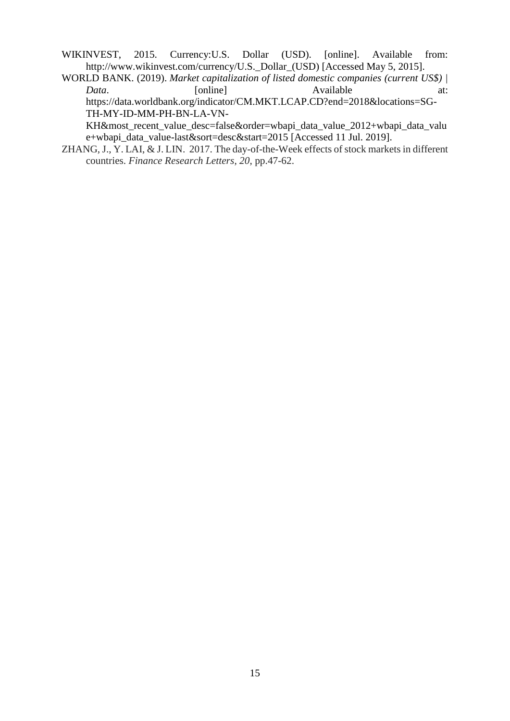WIKINVEST, 2015. Currency: U.S. Dollar (USD). [online]. Available from: http://www.wikinvest.com/currency/U.S.\_Dollar\_(USD) [Accessed May 5, 2015].

WORLD BANK. (2019). *Market capitalization of listed domestic companies (current US\$) | Data*. [online] Available at: https://data.worldbank.org/indicator/CM.MKT.LCAP.CD?end=2018&locations=SG-TH-MY-ID-MM-PH-BN-LA-VN-

KH&most\_recent\_value\_desc=false&order=wbapi\_data\_value\_2012+wbapi\_data\_valu e+wbapi\_data\_value-last&sort=desc&start=2015 [Accessed 11 Jul. 2019].

ZHANG, J., Y. LAI, & J. LIN. 2017. The day-of-the-Week effects of stock markets in different countries. *Finance Research Letters*, *20*, pp.47-62.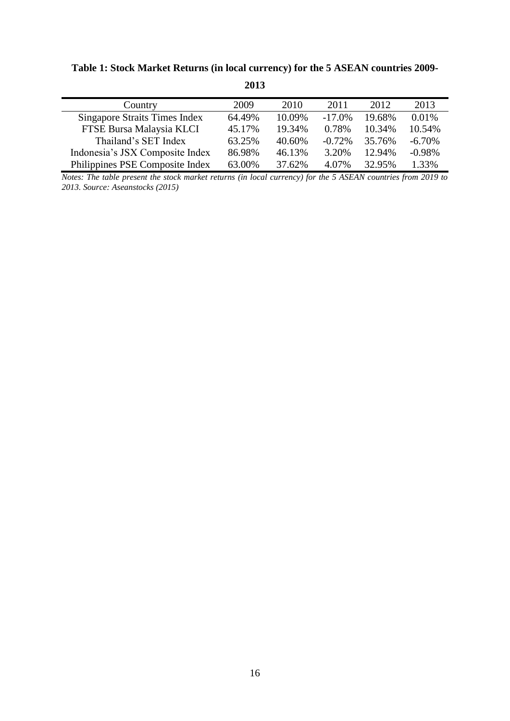| Country                         | 2009   | 2010   | 2011      | 2012   | 2013      |
|---------------------------------|--------|--------|-----------|--------|-----------|
| Singapore Straits Times Index   | 64.49% | 10.09% | $-17.0\%$ | 19.68% | 0.01%     |
| FTSE Bursa Malaysia KLCI        | 45.17% | 19.34% | 0.78%     | 10.34% | 10.54%    |
| Thailand's SET Index            | 63.25% | 40.60% | $-0.72%$  | 35.76% | $-6.70\%$ |
| Indonesia's JSX Composite Index | 86.98% | 46.13% | 3.20%     | 12.94% | $-0.98%$  |
| Philippines PSE Composite Index | 63.00% | 37.62% | 4.07%     | 32.95% | 1.33%     |

# **Table 1: Stock Market Returns (in local currency) for the 5 ASEAN countries 2009-**

**2013**

*Notes: The table present the stock market returns (in local currency) for the 5 ASEAN countries from 2019 to 2013. Source: Aseanstocks (2015)*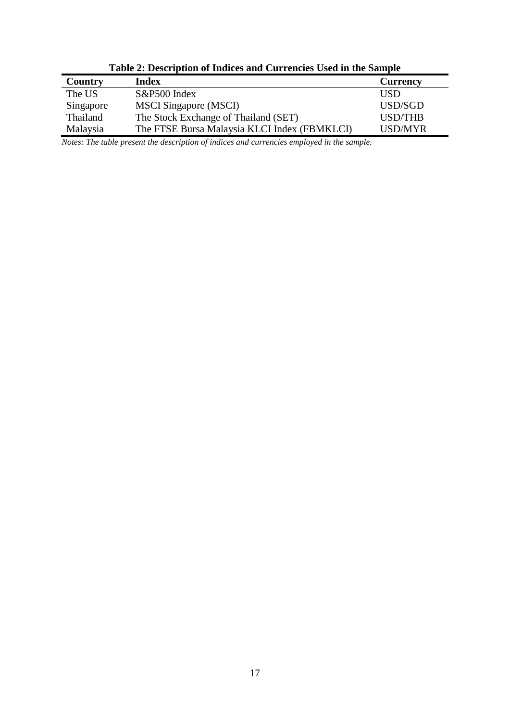|           | Table 2. Description of marces and Carrencies Osca in the Sample |                 |
|-----------|------------------------------------------------------------------|-----------------|
| Country   | Index                                                            | <b>Currency</b> |
| The US    | S&P500 Index                                                     | USD             |
| Singapore | <b>MSCI</b> Singapore (MSCI)                                     | USD/SGD         |
| Thailand  | The Stock Exchange of Thailand (SET)                             | <b>USD/THB</b>  |
| Malaysia  | The FTSE Bursa Malaysia KLCI Index (FBMKLCI)                     | <b>USD/MYR</b>  |

**Table 2: Description of Indices and Currencies Used in the Sample**

*Notes: The table present the description of indices and currencies employed in the sample.*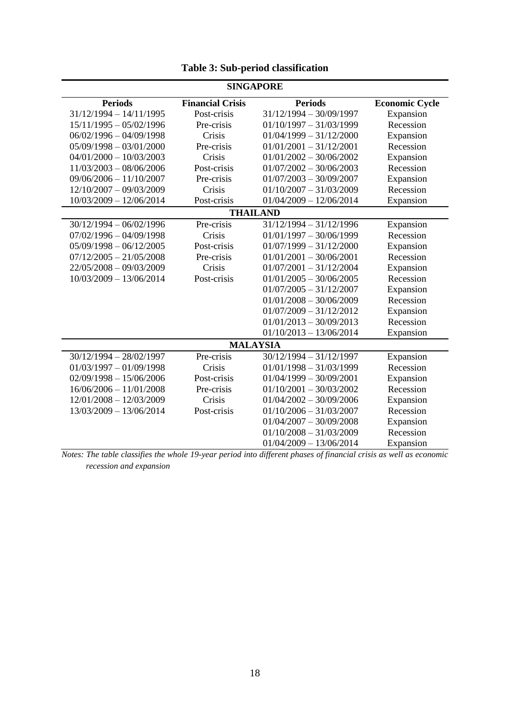|                           |                         | <b>SINGAPORE</b>          |                       |
|---------------------------|-------------------------|---------------------------|-----------------------|
| <b>Periods</b>            | <b>Financial Crisis</b> | <b>Periods</b>            | <b>Economic Cycle</b> |
| $31/12/1994 - 14/11/1995$ | Post-crisis             | $31/12/1994 - 30/09/1997$ | Expansion             |
| $15/11/1995 - 05/02/1996$ | Pre-crisis              | $01/10/1997 - 31/03/1999$ | Recession             |
| $06/02/1996 - 04/09/1998$ | Crisis                  | $01/04/1999 - 31/12/2000$ | Expansion             |
| $05/09/1998 - 03/01/2000$ | Pre-crisis              | $01/01/2001 - 31/12/2001$ | Recession             |
| $04/01/2000 - 10/03/2003$ | Crisis                  | $01/01/2002 - 30/06/2002$ | Expansion             |
| $11/03/2003 - 08/06/2006$ | Post-crisis             | $01/07/2002 - 30/06/2003$ | Recession             |
| $09/06/2006 - 11/10/2007$ | Pre-crisis              | $01/07/2003 - 30/09/2007$ | Expansion             |
| 12/10/2007 - 09/03/2009   | Crisis                  | $01/10/2007 - 31/03/2009$ | Recession             |
| $10/03/2009 - 12/06/2014$ | Post-crisis             | $01/04/2009 - 12/06/2014$ | Expansion             |
|                           |                         | <b>THAILAND</b>           |                       |
| $30/12/1994 - 06/02/1996$ | Pre-crisis              | $31/12/1994 - 31/12/1996$ | Expansion             |
| $07/02/1996 - 04/09/1998$ | Crisis                  | $01/01/1997 - 30/06/1999$ | Recession             |
| $05/09/1998 - 06/12/2005$ | Post-crisis             | $01/07/1999 - 31/12/2000$ | Expansion             |
| $07/12/2005 - 21/05/2008$ | Pre-crisis              | $01/01/2001 - 30/06/2001$ | Recession             |
| 22/05/2008 - 09/03/2009   | Crisis                  | $01/07/2001 - 31/12/2004$ | Expansion             |
| $10/03/2009 - 13/06/2014$ | Post-crisis             | $01/01/2005 - 30/06/2005$ | Recession             |
|                           |                         | $01/07/2005 - 31/12/2007$ | Expansion             |
|                           |                         | $01/01/2008 - 30/06/2009$ | Recession             |
|                           |                         | $01/07/2009 - 31/12/2012$ | Expansion             |
|                           |                         | $01/01/2013 - 30/09/2013$ | Recession             |
|                           |                         | $01/10/2013 - 13/06/2014$ | Expansion             |
|                           |                         | <b>MALAYSIA</b>           |                       |
| $30/12/1994 - 28/02/1997$ | Pre-crisis              | $30/12/1994 - 31/12/1997$ | Expansion             |
| $01/03/1997 - 01/09/1998$ | Crisis                  | $01/01/1998 - 31/03/1999$ | Recession             |
| $02/09/1998 - 15/06/2006$ | Post-crisis             | $01/04/1999 - 30/09/2001$ | Expansion             |
| $16/06/2006 - 11/01/2008$ | Pre-crisis              | $01/10/2001 - 30/03/2002$ | Recession             |
| $12/01/2008 - 12/03/2009$ | Crisis                  | $01/04/2002 - 30/09/2006$ | Expansion             |
| 13/03/2009 - 13/06/2014   | Post-crisis             | $01/10/2006 - 31/03/2007$ | Recession             |
|                           |                         | $01/04/2007 - 30/09/2008$ | Expansion             |
|                           |                         | $01/10/2008 - 31/03/2009$ | Recession             |
|                           |                         | $01/04/2009 - 13/06/2014$ | Expansion             |

**Table 3: Sub-period classification**

*Notes: The table classifies the whole 19-year period into different phases of financial crisis as well as economic recession and expansion*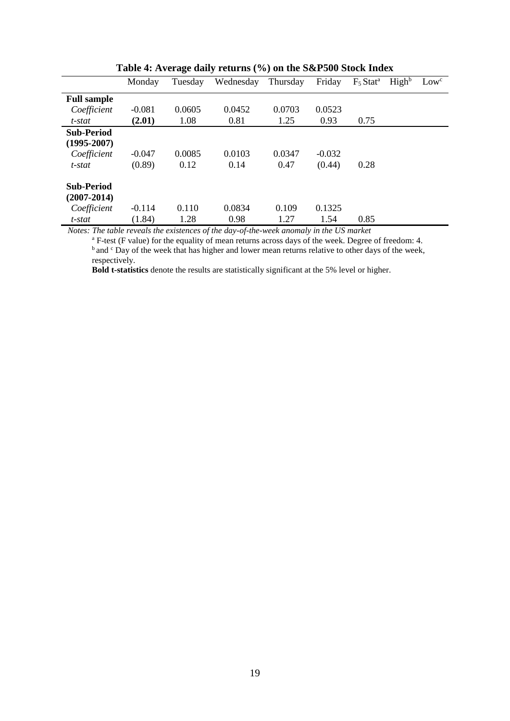|                    | Monday   | Tuesday | Wednesday | Thursday | Friday   | $F_5$ Stat <sup>a</sup> | High <sup>b</sup> | Low <sup>c</sup> |
|--------------------|----------|---------|-----------|----------|----------|-------------------------|-------------------|------------------|
| <b>Full sample</b> |          |         |           |          |          |                         |                   |                  |
| Coefficient        | $-0.081$ | 0.0605  | 0.0452    | 0.0703   | 0.0523   |                         |                   |                  |
| t-stat             | (2.01)   | 1.08    | 0.81      | 1.25     | 0.93     | 0.75                    |                   |                  |
| <b>Sub-Period</b>  |          |         |           |          |          |                         |                   |                  |
| $(1995 - 2007)$    |          |         |           |          |          |                         |                   |                  |
| Coefficient        | $-0.047$ | 0.0085  | 0.0103    | 0.0347   | $-0.032$ |                         |                   |                  |
| t-stat             | (0.89)   | 0.12    | 0.14      | 0.47     | (0.44)   | 0.28                    |                   |                  |
| <b>Sub-Period</b>  |          |         |           |          |          |                         |                   |                  |
| $(2007 - 2014)$    |          |         |           |          |          |                         |                   |                  |
| Coefficient        | $-0.114$ | 0.110   | 0.0834    | 0.109    | 0.1325   |                         |                   |                  |
| t-stat             | (1.84)   | 1.28    | 0.98      | 1.27     | 1.54     | 0.85                    |                   |                  |

**Table 4: Average daily returns (%) on the S&P500 Stock Index**

*Notes: The table reveals the existences of the day-of-the-week anomaly in the US market*

<sup>a</sup> F-test (F value) for the equality of mean returns across days of the week. Degree of freedom: 4. <sup>b</sup> and <sup>c</sup> Day of the week that has higher and lower mean returns relative to other days of the week, respectively.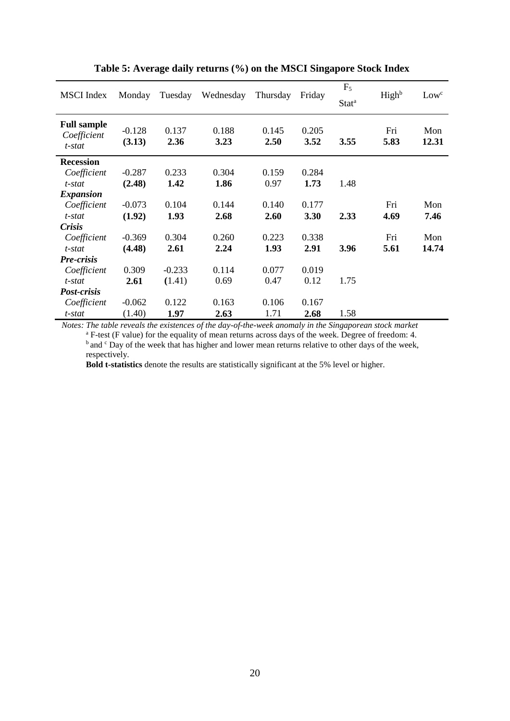| <b>MSCI</b> Index                           | Monday             | Tuesday       | Wednesday     | Thursday      | Friday        | $F_5$<br>Stat <sup>a</sup> | High <sup>b</sup> | Low <sup>c</sup> |
|---------------------------------------------|--------------------|---------------|---------------|---------------|---------------|----------------------------|-------------------|------------------|
| <b>Full sample</b><br>Coefficient<br>t-stat | $-0.128$<br>(3.13) | 0.137<br>2.36 | 0.188<br>3.23 | 0.145<br>2.50 | 0.205<br>3.52 | 3.55                       | Fri<br>5.83       | Mon<br>12.31     |
| <b>Recession</b>                            |                    |               |               |               |               |                            |                   |                  |
| Coefficient                                 | $-0.287$           | 0.233         | 0.304         | 0.159         | 0.284         |                            |                   |                  |
| t-stat                                      | (2.48)             | 1.42          | 1.86          | 0.97          | 1.73          | 1.48                       |                   |                  |
| <i>Expansion</i>                            |                    |               |               |               |               |                            |                   |                  |
| Coefficient                                 | $-0.073$           | 0.104         | 0.144         | 0.140         | 0.177         |                            | Fri               | Mon              |
| t-stat                                      | (1.92)             | 1.93          | 2.68          | 2.60          | 3.30          | 2.33                       | 4.69              | 7.46             |
| <b>Crisis</b>                               |                    |               |               |               |               |                            |                   |                  |
| Coefficient                                 | $-0.369$           | 0.304         | 0.260         | 0.223         | 0.338         |                            | Fri               | Mon              |
| t-stat                                      | (4.48)             | 2.61          | 2.24          | 1.93          | 2.91          | 3.96                       | 5.61              | 14.74            |
| <b>Pre-crisis</b>                           |                    |               |               |               |               |                            |                   |                  |
| Coefficient                                 | 0.309              | $-0.233$      | 0.114         | 0.077         | 0.019         |                            |                   |                  |
| t-stat                                      | 2.61               | (1.41)        | 0.69          | 0.47          | 0.12          | 1.75                       |                   |                  |
| Post-crisis                                 |                    |               |               |               |               |                            |                   |                  |
| Coefficient                                 | $-0.062$           | 0.122         | 0.163         | 0.106         | 0.167         |                            |                   |                  |
| t-stat                                      | (1.40)             | 1.97          | 2.63          | 1.71          | 2.68          | 1.58                       |                   |                  |

**Table 5: Average daily returns (%) on the MSCI Singapore Stock Index**

*Notes: The table reveals the existences of the day-of-the-week anomaly in the Singaporean stock market* <sup>a</sup> F-test (F value) for the equality of mean returns across days of the week. Degree of freedom: 4.  $\frac{b}{c}$  and  $\frac{c}{c}$  Day of the week that has higher and lower mean returns relative to other days of the week, respectively.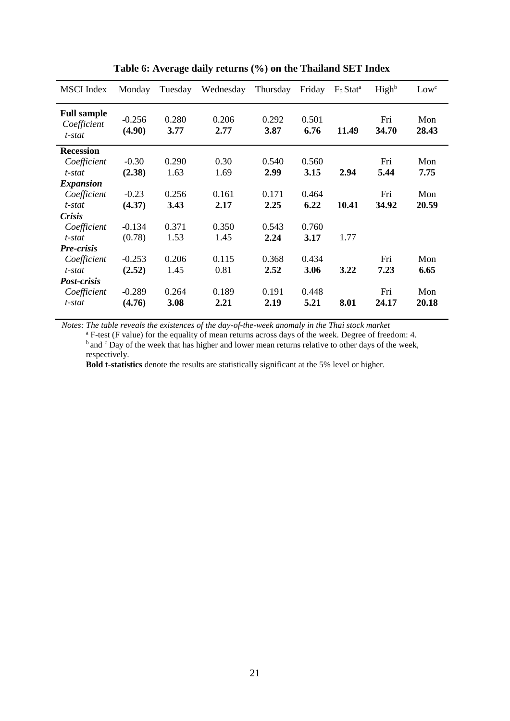| <b>MSCI</b> Index                           | Monday             | Tuesday       | Wednesday     | Thursday      | Friday        | $F_5$ Stat <sup>a</sup> | High <sup>b</sup> | Low <sup>c</sup> |
|---------------------------------------------|--------------------|---------------|---------------|---------------|---------------|-------------------------|-------------------|------------------|
| <b>Full sample</b><br>Coefficient<br>t-stat | $-0.256$<br>(4.90) | 0.280<br>3.77 | 0.206<br>2.77 | 0.292<br>3.87 | 0.501<br>6.76 | 11.49                   | Fri<br>34.70      | Mon<br>28.43     |
| <b>Recession</b>                            |                    |               |               |               |               |                         |                   |                  |
| Coefficient                                 | $-0.30$            | 0.290         | 0.30          | 0.540         | 0.560         |                         | Fri               | Mon              |
| t-stat                                      | (2.38)             | 1.63          | 1.69          | 2.99          | 3.15          | 2.94                    | 5.44              | 7.75             |
| <i>Expansion</i>                            |                    |               |               |               |               |                         |                   |                  |
| Coefficient                                 | $-0.23$            | 0.256         | 0.161         | 0.171         | 0.464         |                         | Fri               | Mon              |
| t-stat                                      | (4.37)             | 3.43          | 2.17          | 2.25          | 6.22          | 10.41                   | 34.92             | 20.59            |
| <b>Crisis</b>                               |                    |               |               |               |               |                         |                   |                  |
| Coefficient                                 | $-0.134$           | 0.371         | 0.350         | 0.543         | 0.760         |                         |                   |                  |
| t-stat                                      | (0.78)             | 1.53          | 1.45          | 2.24          | 3.17          | 1.77                    |                   |                  |
| Pre-crisis                                  |                    |               |               |               |               |                         |                   |                  |
| Coefficient                                 | $-0.253$           | 0.206         | 0.115         | 0.368         | 0.434         |                         | Fri               | Mon              |
| t-stat                                      | (2.52)             | 1.45          | 0.81          | 2.52          | 3.06          | 3.22                    | 7.23              | 6.65             |
| Post-crisis                                 |                    |               |               |               |               |                         |                   |                  |
| Coefficient                                 | $-0.289$           | 0.264         | 0.189         | 0.191         | 0.448         |                         | Fri               | Mon              |
| t-stat                                      | (4.76)             | 3.08          | 2.21          | 2.19          | 5.21          | 8.01                    | 24.17             | 20.18            |

**Table 6: Average daily returns (%) on the Thailand SET Index**

*Notes: The table reveals the existences of the day-of-the-week anomaly in the Thai stock market*

<sup>a</sup> F-test (F value) for the equality of mean returns across days of the week. Degree of freedom: 4.  $\overrightarrow{b}$  and  $\overrightarrow{c}$  Day of the week that has higher and lower mean returns relative to other days of the week, respectively.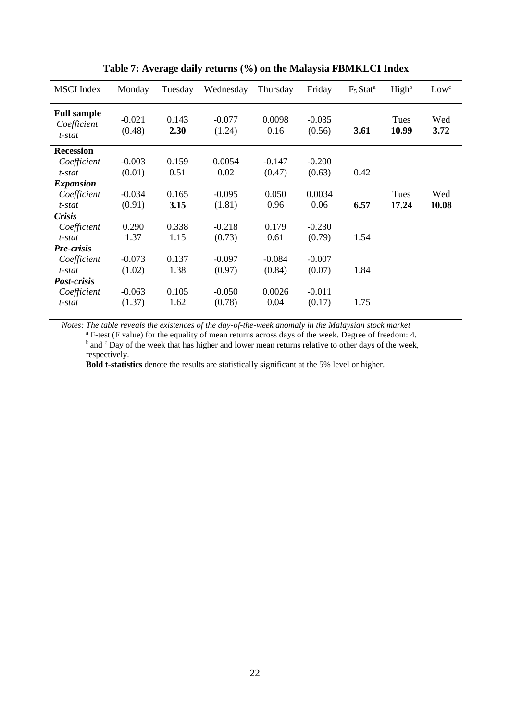| <b>MSCI</b> Index                           | Monday             | Tuesday       | Wednesday          | Thursday       | Friday             | $F_5$ Stat <sup>a</sup> | High <sup>b</sup> | Low <sup>c</sup> |
|---------------------------------------------|--------------------|---------------|--------------------|----------------|--------------------|-------------------------|-------------------|------------------|
| <b>Full sample</b><br>Coefficient<br>t-stat | $-0.021$<br>(0.48) | 0.143<br>2.30 | $-0.077$<br>(1.24) | 0.0098<br>0.16 | $-0.035$<br>(0.56) | 3.61                    | Tues<br>10.99     | Wed<br>3.72      |
| <b>Recession</b>                            |                    |               |                    |                |                    |                         |                   |                  |
| Coefficient                                 | $-0.003$           | 0.159         | 0.0054             | $-0.147$       | $-0.200$           |                         |                   |                  |
| t-stat                                      | (0.01)             | 0.51          | 0.02               | (0.47)         | (0.63)             | 0.42                    |                   |                  |
| <i>Expansion</i>                            |                    |               |                    |                |                    |                         |                   |                  |
| Coefficient                                 | $-0.034$           | 0.165         | $-0.095$           | 0.050          | 0.0034             |                         | Tues              | Wed              |
| t-stat                                      | (0.91)             | 3.15          | (1.81)             | 0.96           | 0.06               | 6.57                    | 17.24             | 10.08            |
| <b>Crisis</b>                               |                    |               |                    |                |                    |                         |                   |                  |
| Coefficient                                 | 0.290              | 0.338         | $-0.218$           | 0.179          | $-0.230$           |                         |                   |                  |
| t-stat                                      | 1.37               | 1.15          | (0.73)             | 0.61           | (0.79)             | 1.54                    |                   |                  |
| Pre-crisis                                  |                    |               |                    |                |                    |                         |                   |                  |
| Coefficient                                 | $-0.073$           | 0.137         | $-0.097$           | $-0.084$       | $-0.007$           |                         |                   |                  |
| t-stat                                      | (1.02)             | 1.38          | (0.97)             | (0.84)         | (0.07)             | 1.84                    |                   |                  |
| <i>Post-crisis</i>                          |                    |               |                    |                |                    |                         |                   |                  |
| Coefficient                                 | $-0.063$           | 0.105         | $-0.050$           | 0.0026         | $-0.011$           |                         |                   |                  |
| t-stat                                      | (1.37)             | 1.62          | (0.78)             | 0.04           | (0.17)             | 1.75                    |                   |                  |

**Table 7: Average daily returns (%) on the Malaysia FBMKLCI Index**

*Notes: The table reveals the existences of the day-of-the-week anomaly in the Malaysian stock market*

<sup>a</sup> F-test (F value) for the equality of mean returns across days of the week. Degree of freedom: 4. <sup>b</sup> and <sup>c</sup> Day of the week that has higher and lower mean returns relative to other days of the week, respectively.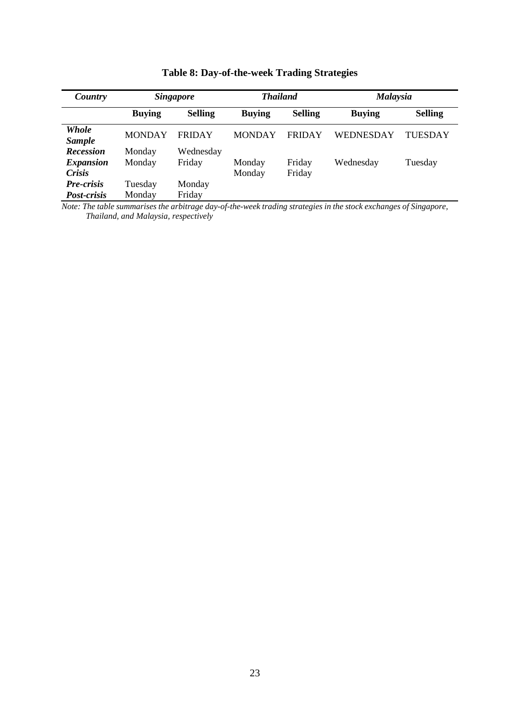| Country                | <b>Singapore</b> |                | <b>Thailand</b> |                | <b>Malaysia</b> |                |  |
|------------------------|------------------|----------------|-----------------|----------------|-----------------|----------------|--|
|                        | <b>Buying</b>    | <b>Selling</b> | <b>Buying</b>   | <b>Selling</b> | <b>Buying</b>   | <b>Selling</b> |  |
| Whole<br><b>Sample</b> | <b>MONDAY</b>    | <b>FRIDAY</b>  | <b>MONDAY</b>   | <b>FRIDAY</b>  | WEDNESDAY       | <b>TUESDAY</b> |  |
| <b>Recession</b>       | Monday           | Wednesday      |                 |                |                 |                |  |
| <b>Expansion</b>       | Monday           | Friday         | Monday          | Friday         | Wednesday       | Tuesday        |  |
| <b>Crisis</b>          |                  |                | Monday          | Friday         |                 |                |  |
| Pre-crisis             | Tuesday          | Monday         |                 |                |                 |                |  |
| <i>Post-crisis</i>     | Monday           | Friday         |                 |                |                 |                |  |

**Table 8: Day-of-the-week Trading Strategies**

*Note: The table summarises the arbitrage day-of-the-week trading strategies in the stock exchanges of Singapore, Thailand, and Malaysia, respectively*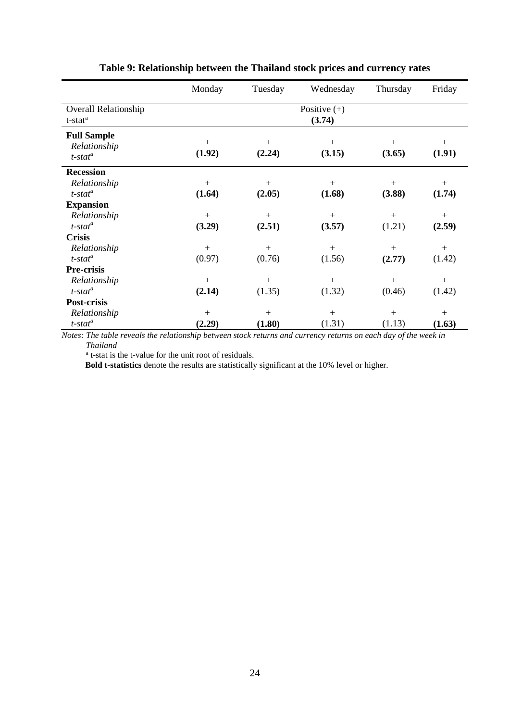|                                                              | Monday           | Tuesday       | Wednesday                | Thursday      | Friday           |
|--------------------------------------------------------------|------------------|---------------|--------------------------|---------------|------------------|
| <b>Overall Relationship</b><br>t-stat <sup>a</sup>           |                  |               | Positive $(+)$<br>(3.74) |               |                  |
| <b>Full Sample</b><br>Relationship<br>$t$ -stat <sup>a</sup> | $^{+}$<br>(1.92) | $+$<br>(2.24) | $+$<br>(3.15)            | $+$<br>(3.65) | $^{+}$<br>(1.91) |
| <b>Recession</b>                                             |                  |               |                          |               |                  |
| Relationship                                                 | $+$              | $+$           | $+$                      | $+$           | $^{+}$           |
| $t$ -stat <sup>a</sup>                                       | (1.64)           | (2.05)        | (1.68)                   | (3.88)        | (1.74)           |
| <b>Expansion</b>                                             |                  |               |                          |               |                  |
| Relationship                                                 | $^{+}$           | $+$           | $+$                      | $+$           | $^{+}$           |
| $t$ -stat $^a$                                               | (3.29)           | (2.51)        | (3.57)                   | (1.21)        | (2.59)           |
| <b>Crisis</b>                                                |                  |               |                          |               |                  |
| Relationship                                                 | $^{+}$           | $^{+}$        | $+$                      | $^{+}$        | $^{+}$           |
| $t$ -stat <sup>a</sup>                                       | (0.97)           | (0.76)        | (1.56)                   | (2.77)        | (1.42)           |
| Pre-crisis                                                   |                  |               |                          |               |                  |
| Relationship                                                 | $+$              | $+$           | $+$                      | $+$           | $+$              |
| $t$ -stat <sup>a</sup>                                       | (2.14)           | (1.35)        | (1.32)                   | (0.46)        | (1.42)           |
| Post-crisis                                                  |                  |               |                          |               |                  |
| Relationship                                                 | $^{+}$           | $+$           | $+$                      | $+$           | $^{+}$           |
| $t$ -stat <sup>a</sup>                                       | (2.29)           | (1.80)        | (1.31)                   | (1.13)        | (1.63)           |

# **Table 9: Relationship between the Thailand stock prices and currency rates**

*Notes: The table reveals the relationship between stock returns and currency returns on each day of the week in Thailand*

a t-stat is the t-value for the unit root of residuals.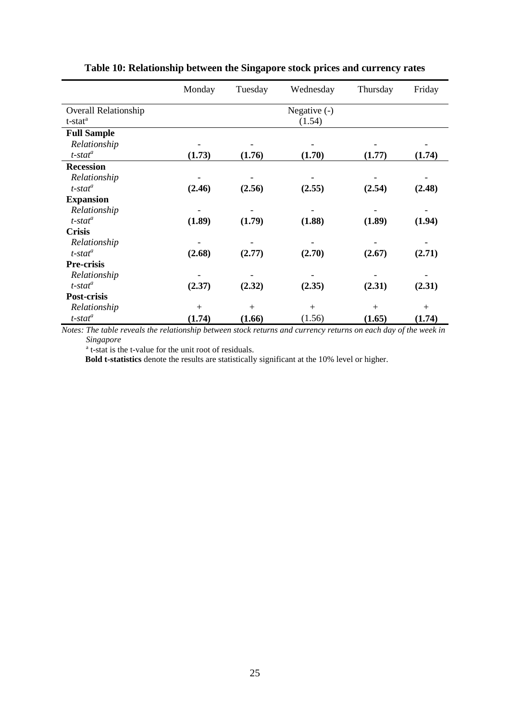|                             | Monday | Tuesday | Wednesday      | Thursday | Friday |
|-----------------------------|--------|---------|----------------|----------|--------|
| <b>Overall Relationship</b> |        |         | Negative $(-)$ |          |        |
| t-stat <sup>a</sup>         |        |         | (1.54)         |          |        |
| <b>Full Sample</b>          |        |         |                |          |        |
| Relationship                |        |         |                |          |        |
| $t$ -stat <sup>a</sup>      | (1.73) | (1.76)  | (1.70)         | (1.77)   | (1.74) |
| <b>Recession</b>            |        |         |                |          |        |
| Relationship                |        |         |                |          |        |
| $t$ -stat $^a$              | (2.46) | (2.56)  | (2.55)         | (2.54)   | (2.48) |
| <b>Expansion</b>            |        |         |                |          |        |
| Relationship                |        |         |                |          |        |
| $t$ -stat <sup>a</sup>      | (1.89) | (1.79)  | (1.88)         | (1.89)   | (1.94) |
| <b>Crisis</b>               |        |         |                |          |        |
| Relationship                |        |         |                |          |        |
| $t$ -stat $^a$              | (2.68) | (2.77)  | (2.70)         | (2.67)   | (2.71) |
| Pre-crisis                  |        |         |                |          |        |
| Relationship                |        |         |                |          |        |
| $t$ -stat $^a$              | (2.37) | (2.32)  | (2.35)         | (2.31)   | (2.31) |
| Post-crisis                 |        |         |                |          |        |
| Relationship                | $+$    | $+$     | $+$            | $+$      | $^{+}$ |
| $t$ -stat $^a$              | (1.74) | (1.66)  | (1.56)         | (1.65)   | (1.74) |

# **Table 10: Relationship between the Singapore stock prices and currency rates**

*Notes: The table reveals the relationship between stock returns and currency returns on each day of the week in Singapore*

a t-stat is the t-value for the unit root of residuals.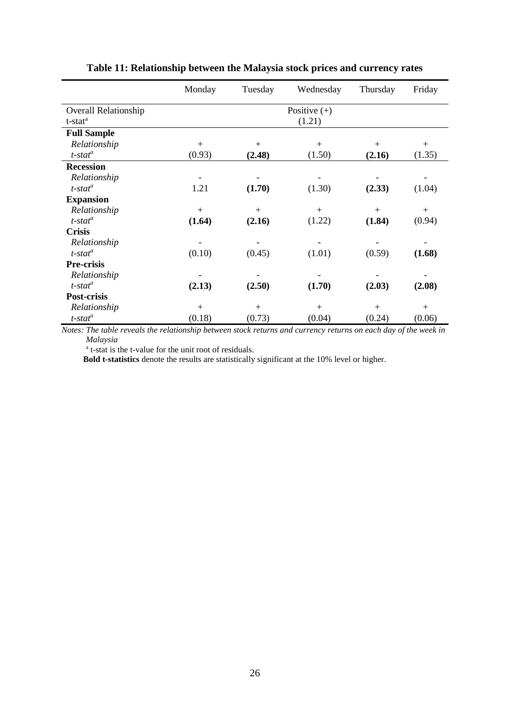|                             | Monday | Tuesday | Wednesday      | Thursday | Friday |
|-----------------------------|--------|---------|----------------|----------|--------|
| <b>Overall Relationship</b> |        |         | Positive $(+)$ |          |        |
| t-stat <sup>a</sup>         |        |         | (1.21)         |          |        |
| <b>Full Sample</b>          |        |         |                |          |        |
| Relationship                | $+$    | $+$     | $+$            | $+$      | $+$    |
| $t$ -stat <sup>a</sup>      | (0.93) | (2.48)  | (1.50)         | (2.16)   | (1.35) |
| <b>Recession</b>            |        |         |                |          |        |
| Relationship                |        |         |                |          |        |
| $t$ -stat $^a$              | 1.21   | (1.70)  | (1.30)         | (2.33)   | (1.04) |
| <b>Expansion</b>            |        |         |                |          |        |
| Relationship                | $^{+}$ | $+$     | $+$            | $^{+}$   | $+$    |
| $t$ -stat $^a$              | (1.64) | (2.16)  | (1.22)         | (1.84)   | (0.94) |
| <b>Crisis</b>               |        |         |                |          |        |
| Relationship                |        |         |                |          |        |
| $t$ -stat $^a$              | (0.10) | (0.45)  | (1.01)         | (0.59)   | (1.68) |
| Pre-crisis                  |        |         |                |          |        |
| Relationship                |        |         |                |          |        |
| $t$ -stat <sup>a</sup>      | (2.13) | (2.50)  | (1.70)         | (2.03)   | (2.08) |
| Post-crisis                 |        |         |                |          |        |
| Relationship                | $+$    | $+$     | $+$            | $+$      | $+$    |
| $t$ -stat <sup>a</sup>      | (0.18) | (0.73)  | (0.04)         | (0.24)   | (0.06) |

# **Table 11: Relationship between the Malaysia stock prices and currency rates**

*Notes: The table reveals the relationship between stock returns and currency returns on each day of the week in Malaysia*

a t-stat is the t-value for the unit root of residuals.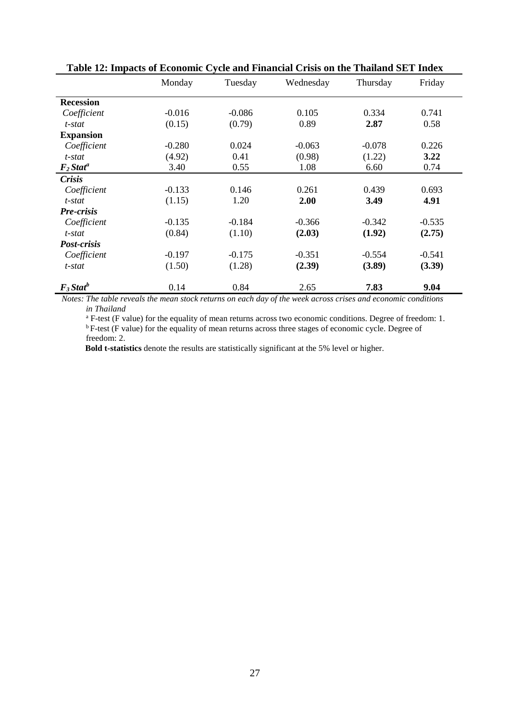|                         | тиле так пирись от пеопоние сустемии г нинеми стало он иге г нинине оп т писм<br>Monday | Tuesday  | Wednesday | Thursday | Friday   |
|-------------------------|-----------------------------------------------------------------------------------------|----------|-----------|----------|----------|
|                         |                                                                                         |          |           |          |          |
| <b>Recession</b>        |                                                                                         |          |           |          |          |
| Coefficient             | $-0.016$                                                                                | $-0.086$ | 0.105     | 0.334    | 0.741    |
| t-stat                  | (0.15)                                                                                  | (0.79)   | 0.89      | 2.87     | 0.58     |
| <b>Expansion</b>        |                                                                                         |          |           |          |          |
| Coefficient             | $-0.280$                                                                                | 0.024    | $-0.063$  | $-0.078$ | 0.226    |
| t-stat                  | (4.92)                                                                                  | 0.41     | (0.98)    | (1.22)   | 3.22     |
| $F_2$ Stat <sup>a</sup> | 3.40                                                                                    | 0.55     | 1.08      | 6.60     | 0.74     |
| <b>Crisis</b>           |                                                                                         |          |           |          |          |
| Coefficient             | $-0.133$                                                                                | 0.146    | 0.261     | 0.439    | 0.693    |
| t-stat                  | (1.15)                                                                                  | 1.20     | 2.00      | 3.49     | 4.91     |
| Pre-crisis              |                                                                                         |          |           |          |          |
| Coefficient             | $-0.135$                                                                                | $-0.184$ | $-0.366$  | $-0.342$ | $-0.535$ |
| t-stat                  | (0.84)                                                                                  | (1.10)   | (2.03)    | (1.92)   | (2.75)   |
| Post-crisis             |                                                                                         |          |           |          |          |
| Coefficient             | $-0.197$                                                                                | $-0.175$ | $-0.351$  | $-0.554$ | $-0.541$ |
| t-stat                  | (1.50)                                                                                  | (1.28)   | (2.39)    | (3.89)   | (3.39)   |
| $F_3$ Stat <sup>b</sup> | 0.14                                                                                    | 0.84     | 2.65      | 7.83     | 9.04     |

**Table 12: Impacts of Economic Cycle and Financial Crisis on the Thailand SET Index**

*Notes: The table reveals the mean stock returns on each day of the week across crises and economic conditions in Thailand*

<sup>a</sup> F-test (F value) for the equality of mean returns across two economic conditions. Degree of freedom: 1. <sup>b</sup> F-test (F value) for the equality of mean returns across three stages of economic cycle. Degree of freedom: 2.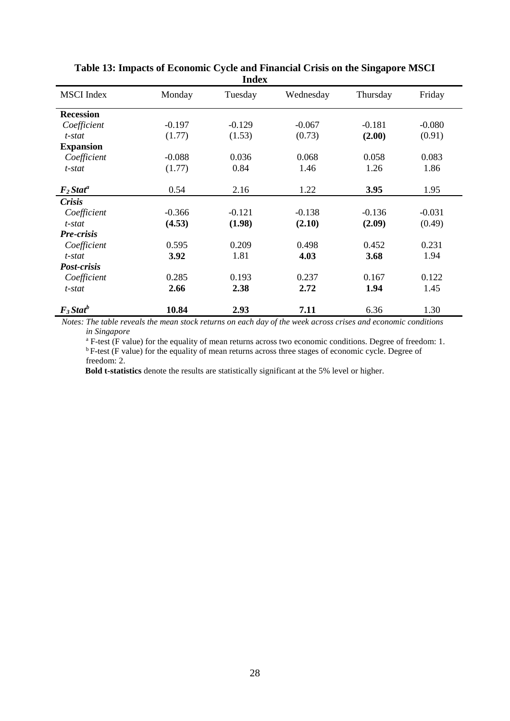| шисл                    |          |          |           |          |          |  |  |  |
|-------------------------|----------|----------|-----------|----------|----------|--|--|--|
| <b>MSCI</b> Index       | Monday   | Tuesday  | Wednesday | Thursday | Friday   |  |  |  |
| <b>Recession</b>        |          |          |           |          |          |  |  |  |
| Coefficient             | $-0.197$ | $-0.129$ | $-0.067$  | $-0.181$ | $-0.080$ |  |  |  |
| t-stat                  | (1.77)   | (1.53)   | (0.73)    | (2.00)   | (0.91)   |  |  |  |
| <b>Expansion</b>        |          |          |           |          |          |  |  |  |
| Coefficient             | $-0.088$ | 0.036    | 0.068     | 0.058    | 0.083    |  |  |  |
| $t$ -stat               | (1.77)   | 0.84     | 1.46      | 1.26     | 1.86     |  |  |  |
| $F_2$ Stat <sup>a</sup> | 0.54     | 2.16     | 1.22      | 3.95     | 1.95     |  |  |  |
| Crisis                  |          |          |           |          |          |  |  |  |
| Coefficient             | $-0.366$ | $-0.121$ | $-0.138$  | $-0.136$ | $-0.031$ |  |  |  |
| t-stat                  | (4.53)   | (1.98)   | (2.10)    | (2.09)   | (0.49)   |  |  |  |
| <b>Pre-crisis</b>       |          |          |           |          |          |  |  |  |
| Coefficient             | 0.595    | 0.209    | 0.498     | 0.452    | 0.231    |  |  |  |
| t-stat                  | 3.92     | 1.81     | 4.03      | 3.68     | 1.94     |  |  |  |
| Post-crisis             |          |          |           |          |          |  |  |  |
| Coefficient             | 0.285    | 0.193    | 0.237     | 0.167    | 0.122    |  |  |  |
| t-stat                  | 2.66     | 2.38     | 2.72      | 1.94     | 1.45     |  |  |  |
| $F_3$ Stat <sup>b</sup> | 10.84    | 2.93     | 7.11      | 6.36     | 1.30     |  |  |  |

**Table 13: Impacts of Economic Cycle and Financial Crisis on the Singapore MSCI Index**

*Notes: The table reveals the mean stock returns on each day of the week across crises and economic conditions in Singapore*

<sup>a</sup> F-test (F value) for the equality of mean returns across two economic conditions. Degree of freedom: 1.  $b_F$ -test (F value) for the equality of mean returns across three stages of economic cycle. Degree of freedom: 2.